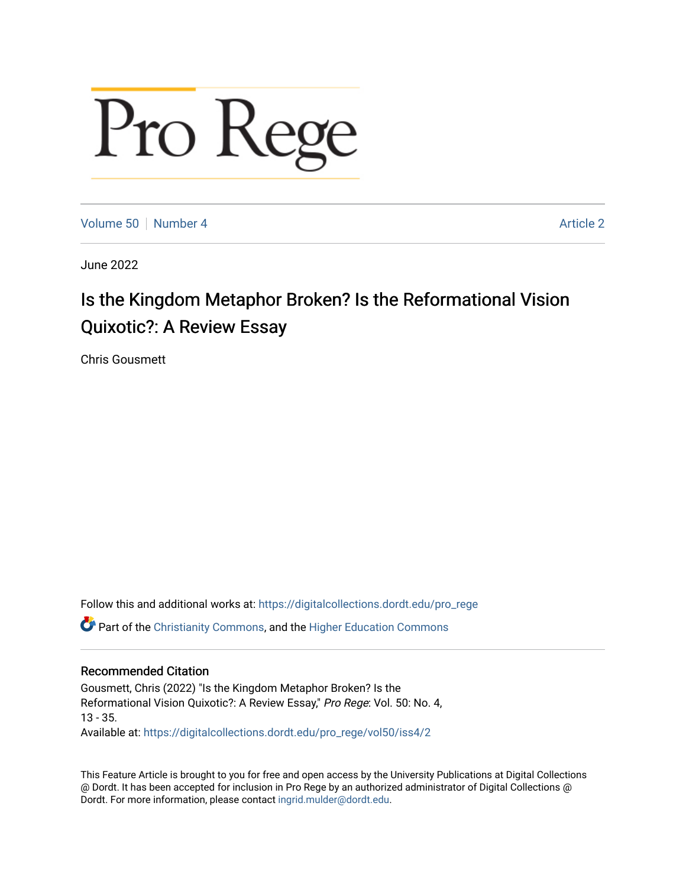# Pro Rege

[Volume 50](https://digitalcollections.dordt.edu/pro_rege/vol50) [Number 4](https://digitalcollections.dordt.edu/pro_rege/vol50/iss4) Article 2

June 2022

# Is the Kingdom Metaphor Broken? Is the Reformational Vision Quixotic?: A Review Essay

Chris Gousmett

Follow this and additional works at: [https://digitalcollections.dordt.edu/pro\\_rege](https://digitalcollections.dordt.edu/pro_rege?utm_source=digitalcollections.dordt.edu%2Fpro_rege%2Fvol50%2Fiss4%2F2&utm_medium=PDF&utm_campaign=PDFCoverPages) 

Part of the [Christianity Commons,](https://network.bepress.com/hgg/discipline/1181?utm_source=digitalcollections.dordt.edu%2Fpro_rege%2Fvol50%2Fiss4%2F2&utm_medium=PDF&utm_campaign=PDFCoverPages) and the [Higher Education Commons](https://network.bepress.com/hgg/discipline/1245?utm_source=digitalcollections.dordt.edu%2Fpro_rege%2Fvol50%2Fiss4%2F2&utm_medium=PDF&utm_campaign=PDFCoverPages) 

# Recommended Citation

Gousmett, Chris (2022) "Is the Kingdom Metaphor Broken? Is the Reformational Vision Quixotic?: A Review Essay," Pro Rege: Vol. 50: No. 4, 13 - 35. Available at: [https://digitalcollections.dordt.edu/pro\\_rege/vol50/iss4/2](https://digitalcollections.dordt.edu/pro_rege/vol50/iss4/2?utm_source=digitalcollections.dordt.edu%2Fpro_rege%2Fvol50%2Fiss4%2F2&utm_medium=PDF&utm_campaign=PDFCoverPages) 

This Feature Article is brought to you for free and open access by the University Publications at Digital Collections @ Dordt. It has been accepted for inclusion in Pro Rege by an authorized administrator of Digital Collections @ Dordt. For more information, please contact [ingrid.mulder@dordt.edu.](mailto:ingrid.mulder@dordt.edu)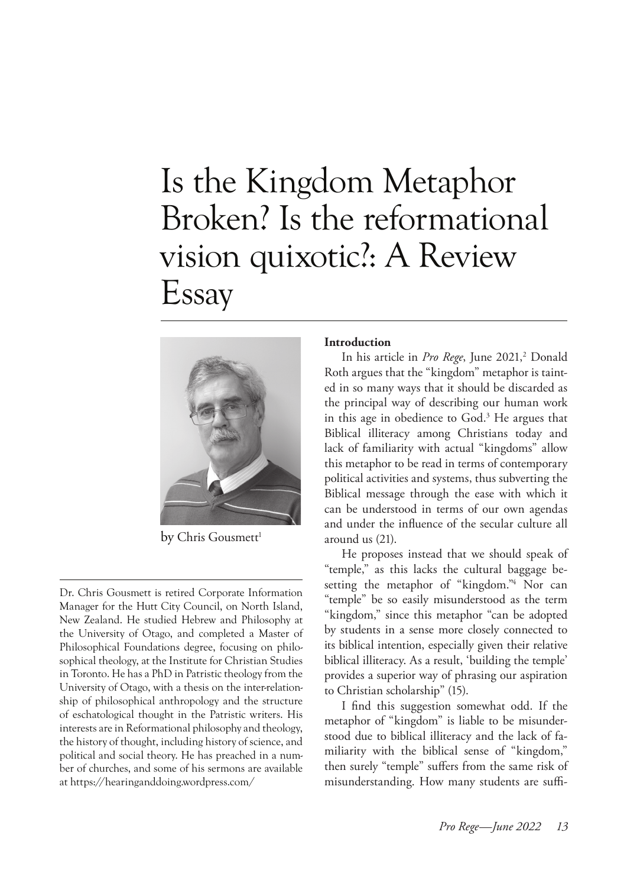# Is the Kingdom Metaphor Broken? Is the reformational vision quixotic?: A Review Essay



by Chris Gousmett<sup>1</sup>

Dr. Chris Gousmett is retired Corporate Information Manager for the Hutt City Council, on North Island, New Zealand. He studied Hebrew and Philosophy at the University of Otago, and completed a Master of Philosophical Foundations degree, focusing on philosophical theology, at the Institute for Christian Studies in Toronto. He has a PhD in Patristic theology from the University of Otago, with a thesis on the inter-relationship of philosophical anthropology and the structure of eschatological thought in the Patristic writers. His interests are in Reformational philosophy and theology, the history of thought, including history of science, and political and social theory. He has preached in a number of churches, and some of his sermons are available at https://hearinganddoing.wordpress.com/

### **Introduction**

In his article in *Pro Rege*, June 2021,<sup>2</sup> Donald Roth argues that the "kingdom" metaphor is tainted in so many ways that it should be discarded as the principal way of describing our human work in this age in obedience to God.3 He argues that Biblical illiteracy among Christians today and lack of familiarity with actual "kingdoms" allow this metaphor to be read in terms of contemporary political activities and systems, thus subverting the Biblical message through the ease with which it can be understood in terms of our own agendas and under the influence of the secular culture all around us (21).

He proposes instead that we should speak of "temple," as this lacks the cultural baggage besetting the metaphor of "kingdom."4 Nor can "temple" be so easily misunderstood as the term "kingdom," since this metaphor "can be adopted by students in a sense more closely connected to its biblical intention, especially given their relative biblical illiteracy. As a result, 'building the temple' provides a superior way of phrasing our aspiration to Christian scholarship" (15).

I find this suggestion somewhat odd. If the metaphor of "kingdom" is liable to be misunderstood due to biblical illiteracy and the lack of familiarity with the biblical sense of "kingdom," then surely "temple" suffers from the same risk of misunderstanding. How many students are suffi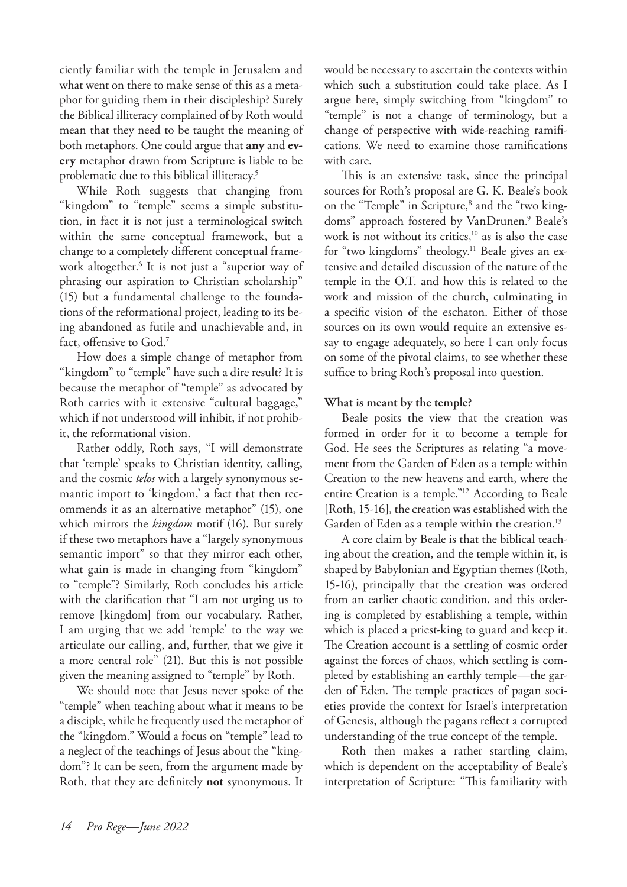ciently familiar with the temple in Jerusalem and what went on there to make sense of this as a metaphor for guiding them in their discipleship? Surely the Biblical illiteracy complained of by Roth would mean that they need to be taught the meaning of both metaphors. One could argue that **any** and **every** metaphor drawn from Scripture is liable to be problematic due to this biblical illiteracy.5

While Roth suggests that changing from "kingdom" to "temple" seems a simple substitution, in fact it is not just a terminological switch within the same conceptual framework, but a change to a completely different conceptual framework altogether.6 It is not just a "superior way of phrasing our aspiration to Christian scholarship" (15) but a fundamental challenge to the foundations of the reformational project, leading to its being abandoned as futile and unachievable and, in fact, offensive to God.<sup>7</sup>

How does a simple change of metaphor from "kingdom" to "temple" have such a dire result? It is because the metaphor of "temple" as advocated by Roth carries with it extensive "cultural baggage," which if not understood will inhibit, if not prohibit, the reformational vision.

Rather oddly, Roth says, "I will demonstrate that 'temple' speaks to Christian identity, calling, and the cosmic *telos* with a largely synonymous semantic import to 'kingdom,' a fact that then recommends it as an alternative metaphor" (15), one which mirrors the *kingdom* motif (16). But surely if these two metaphors have a "largely synonymous semantic import" so that they mirror each other, what gain is made in changing from "kingdom" to "temple"? Similarly, Roth concludes his article with the clarification that "I am not urging us to remove [kingdom] from our vocabulary. Rather, I am urging that we add 'temple' to the way we articulate our calling, and, further, that we give it a more central role" (21). But this is not possible given the meaning assigned to "temple" by Roth.

We should note that Jesus never spoke of the "temple" when teaching about what it means to be a disciple, while he frequently used the metaphor of the "kingdom." Would a focus on "temple" lead to a neglect of the teachings of Jesus about the "kingdom"? It can be seen, from the argument made by Roth, that they are definitely **not** synonymous. It would be necessary to ascertain the contexts within which such a substitution could take place. As I argue here, simply switching from "kingdom" to "temple" is not a change of terminology, but a change of perspective with wide-reaching ramifications. We need to examine those ramifications with care.

This is an extensive task, since the principal sources for Roth's proposal are G. K. Beale's book on the "Temple" in Scripture,<sup>8</sup> and the "two kingdoms" approach fostered by VanDrunen.<sup>9</sup> Beale's work is not without its critics, $10$  as is also the case for "two kingdoms" theology.11 Beale gives an extensive and detailed discussion of the nature of the temple in the O.T. and how this is related to the work and mission of the church, culminating in a specific vision of the eschaton. Either of those sources on its own would require an extensive essay to engage adequately, so here I can only focus on some of the pivotal claims, to see whether these suffice to bring Roth's proposal into question.

## **What is meant by the temple?**

Beale posits the view that the creation was formed in order for it to become a temple for God. He sees the Scriptures as relating "a movement from the Garden of Eden as a temple within Creation to the new heavens and earth, where the entire Creation is a temple."12 According to Beale [Roth, 15-16], the creation was established with the Garden of Eden as a temple within the creation.<sup>13</sup>

A core claim by Beale is that the biblical teaching about the creation, and the temple within it, is shaped by Babylonian and Egyptian themes (Roth, 15-16), principally that the creation was ordered from an earlier chaotic condition, and this ordering is completed by establishing a temple, within which is placed a priest-king to guard and keep it. The Creation account is a settling of cosmic order against the forces of chaos, which settling is completed by establishing an earthly temple—the garden of Eden. The temple practices of pagan societies provide the context for Israel's interpretation of Genesis, although the pagans reflect a corrupted understanding of the true concept of the temple.

Roth then makes a rather startling claim, which is dependent on the acceptability of Beale's interpretation of Scripture: "This familiarity with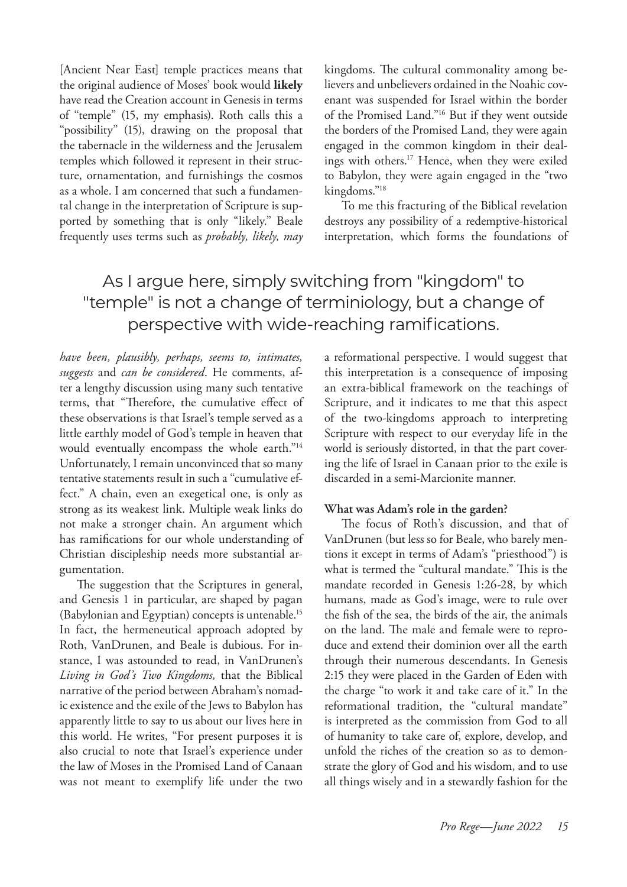[Ancient Near East] temple practices means that the original audience of Moses' book would **likely** have read the Creation account in Genesis in terms of "temple" (15, my emphasis). Roth calls this a "possibility" (15), drawing on the proposal that the tabernacle in the wilderness and the Jerusalem temples which followed it represent in their structure, ornamentation, and furnishings the cosmos as a whole. I am concerned that such a fundamental change in the interpretation of Scripture is supported by something that is only "likely." Beale frequently uses terms such as *probably, likely, may*  kingdoms. The cultural commonality among believers and unbelievers ordained in the Noahic covenant was suspended for Israel within the border of the Promised Land."16 But if they went outside the borders of the Promised Land, they were again engaged in the common kingdom in their dealings with others.17 Hence, when they were exiled to Babylon, they were again engaged in the "two kingdoms."18

To me this fracturing of the Biblical revelation destroys any possibility of a redemptive-historical interpretation, which forms the foundations of

# As I argue here, simply switching from "kingdom" to "temple" is not a change of terminiology, but a change of perspective with wide-reaching ramifications.

*have been, plausibly, perhaps, seems to, intimates, suggests* and *can be considered*. He comments, after a lengthy discussion using many such tentative terms, that "Therefore, the cumulative effect of these observations is that Israel's temple served as a little earthly model of God's temple in heaven that would eventually encompass the whole earth."14 Unfortunately, I remain unconvinced that so many tentative statements result in such a "cumulative effect." A chain, even an exegetical one, is only as strong as its weakest link. Multiple weak links do not make a stronger chain. An argument which has ramifications for our whole understanding of Christian discipleship needs more substantial argumentation.

The suggestion that the Scriptures in general, and Genesis 1 in particular, are shaped by pagan (Babylonian and Egyptian) concepts is untenable.15 In fact, the hermeneutical approach adopted by Roth, VanDrunen, and Beale is dubious. For instance, I was astounded to read, in VanDrunen's *Living in God's Two Kingdoms,* that the Biblical narrative of the period between Abraham's nomadic existence and the exile of the Jews to Babylon has apparently little to say to us about our lives here in this world. He writes, "For present purposes it is also crucial to note that Israel's experience under the law of Moses in the Promised Land of Canaan was not meant to exemplify life under the two

a reformational perspective. I would suggest that this interpretation is a consequence of imposing an extra-biblical framework on the teachings of Scripture, and it indicates to me that this aspect of the two-kingdoms approach to interpreting Scripture with respect to our everyday life in the world is seriously distorted, in that the part covering the life of Israel in Canaan prior to the exile is discarded in a semi-Marcionite manner.

### **What was Adam's role in the garden?**

The focus of Roth's discussion, and that of VanDrunen (but less so for Beale, who barely mentions it except in terms of Adam's "priesthood") is what is termed the "cultural mandate." This is the mandate recorded in Genesis 1:26-28, by which humans, made as God's image, were to rule over the fish of the sea, the birds of the air, the animals on the land. The male and female were to reproduce and extend their dominion over all the earth through their numerous descendants. In Genesis 2:15 they were placed in the Garden of Eden with the charge "to work it and take care of it." In the reformational tradition, the "cultural mandate" is interpreted as the commission from God to all of humanity to take care of, explore, develop, and unfold the riches of the creation so as to demonstrate the glory of God and his wisdom, and to use all things wisely and in a stewardly fashion for the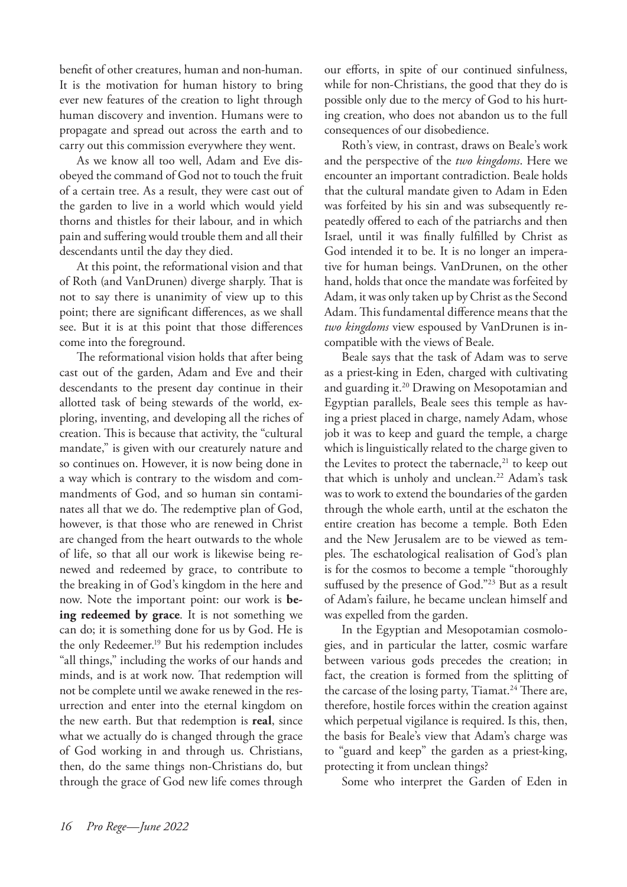benefit of other creatures, human and non-human. It is the motivation for human history to bring ever new features of the creation to light through human discovery and invention. Humans were to propagate and spread out across the earth and to carry out this commission everywhere they went.

As we know all too well, Adam and Eve disobeyed the command of God not to touch the fruit of a certain tree. As a result, they were cast out of the garden to live in a world which would yield thorns and thistles for their labour, and in which pain and suffering would trouble them and all their descendants until the day they died.

At this point, the reformational vision and that of Roth (and VanDrunen) diverge sharply. That is not to say there is unanimity of view up to this point; there are significant differences, as we shall see. But it is at this point that those differences come into the foreground.

The reformational vision holds that after being cast out of the garden, Adam and Eve and their descendants to the present day continue in their allotted task of being stewards of the world, exploring, inventing, and developing all the riches of creation. This is because that activity, the "cultural mandate," is given with our creaturely nature and so continues on. However, it is now being done in a way which is contrary to the wisdom and commandments of God, and so human sin contaminates all that we do. The redemptive plan of God, however, is that those who are renewed in Christ are changed from the heart outwards to the whole of life, so that all our work is likewise being renewed and redeemed by grace, to contribute to the breaking in of God's kingdom in the here and now. Note the important point: our work is **being redeemed by grace**. It is not something we can do; it is something done for us by God. He is the only Redeemer.19 But his redemption includes "all things," including the works of our hands and minds, and is at work now. That redemption will not be complete until we awake renewed in the resurrection and enter into the eternal kingdom on the new earth. But that redemption is **real**, since what we actually do is changed through the grace of God working in and through us. Christians, then, do the same things non-Christians do, but through the grace of God new life comes through

our efforts, in spite of our continued sinfulness, while for non-Christians, the good that they do is possible only due to the mercy of God to his hurting creation, who does not abandon us to the full consequences of our disobedience.

Roth's view, in contrast, draws on Beale's work and the perspective of the *two kingdoms*. Here we encounter an important contradiction. Beale holds that the cultural mandate given to Adam in Eden was forfeited by his sin and was subsequently repeatedly offered to each of the patriarchs and then Israel, until it was finally fulfilled by Christ as God intended it to be. It is no longer an imperative for human beings. VanDrunen, on the other hand, holds that once the mandate was forfeited by Adam, it was only taken up by Christ as the Second Adam. This fundamental difference means that the *two kingdoms* view espoused by VanDrunen is incompatible with the views of Beale.

Beale says that the task of Adam was to serve as a priest-king in Eden, charged with cultivating and guarding it.<sup>20</sup> Drawing on Mesopotamian and Egyptian parallels, Beale sees this temple as having a priest placed in charge, namely Adam, whose job it was to keep and guard the temple, a charge which is linguistically related to the charge given to the Levites to protect the tabernacle, $^{21}$  to keep out that which is unholy and unclean.<sup>22</sup> Adam's task was to work to extend the boundaries of the garden through the whole earth, until at the eschaton the entire creation has become a temple. Both Eden and the New Jerusalem are to be viewed as temples. The eschatological realisation of God's plan is for the cosmos to become a temple "thoroughly suffused by the presence of God."<sup>23</sup> But as a result of Adam's failure, he became unclean himself and was expelled from the garden.

In the Egyptian and Mesopotamian cosmologies, and in particular the latter, cosmic warfare between various gods precedes the creation; in fact, the creation is formed from the splitting of the carcase of the losing party, Tiamat.<sup>24</sup> There are, therefore, hostile forces within the creation against which perpetual vigilance is required. Is this, then, the basis for Beale's view that Adam's charge was to "guard and keep" the garden as a priest-king, protecting it from unclean things?

Some who interpret the Garden of Eden in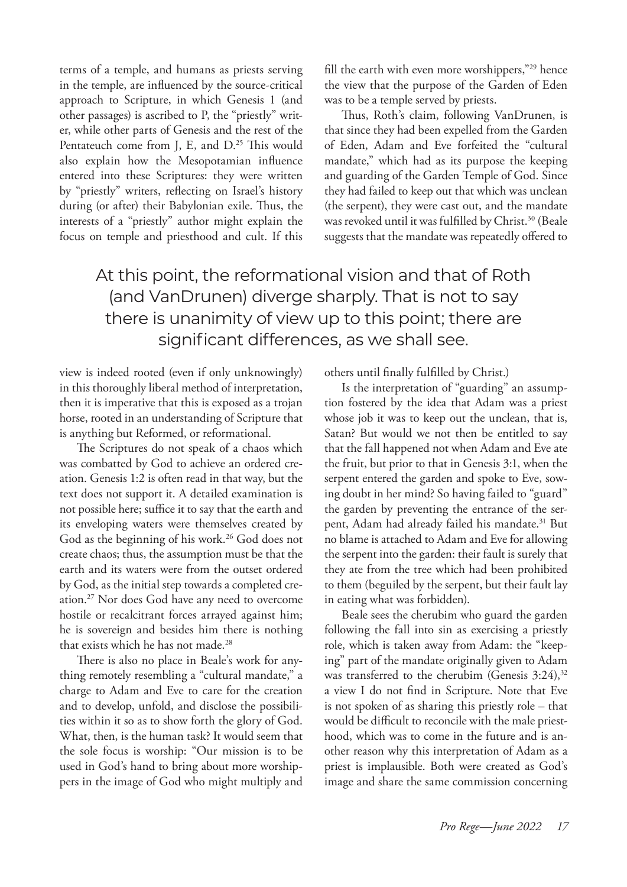terms of a temple, and humans as priests serving in the temple, are influenced by the source-critical approach to Scripture, in which Genesis 1 (and other passages) is ascribed to P, the "priestly" writer, while other parts of Genesis and the rest of the Pentateuch come from J, E, and D.<sup>25</sup> This would also explain how the Mesopotamian influence entered into these Scriptures: they were written by "priestly" writers, reflecting on Israel's history during (or after) their Babylonian exile. Thus, the interests of a "priestly" author might explain the focus on temple and priesthood and cult. If this fill the earth with even more worshippers,"<sup>29</sup> hence the view that the purpose of the Garden of Eden was to be a temple served by priests.

Thus, Roth's claim, following VanDrunen, is that since they had been expelled from the Garden of Eden, Adam and Eve forfeited the "cultural mandate," which had as its purpose the keeping and guarding of the Garden Temple of God. Since they had failed to keep out that which was unclean (the serpent), they were cast out, and the mandate was revoked until it was fulfilled by Christ.<sup>30</sup> (Beale suggests that the mandate was repeatedly offered to

# At this point, the reformational vision and that of Roth (and VanDrunen) diverge sharply. That is not to say there is unanimity of view up to this point; there are significant differences, as we shall see.

view is indeed rooted (even if only unknowingly) in this thoroughly liberal method of interpretation, then it is imperative that this is exposed as a trojan horse, rooted in an understanding of Scripture that is anything but Reformed, or reformational.

The Scriptures do not speak of a chaos which was combatted by God to achieve an ordered creation. Genesis 1:2 is often read in that way, but the text does not support it. A detailed examination is not possible here; suffice it to say that the earth and its enveloping waters were themselves created by God as the beginning of his work.<sup>26</sup> God does not create chaos; thus, the assumption must be that the earth and its waters were from the outset ordered by God, as the initial step towards a completed creation.27 Nor does God have any need to overcome hostile or recalcitrant forces arrayed against him; he is sovereign and besides him there is nothing that exists which he has not made.<sup>28</sup>

There is also no place in Beale's work for anything remotely resembling a "cultural mandate," a charge to Adam and Eve to care for the creation and to develop, unfold, and disclose the possibilities within it so as to show forth the glory of God. What, then, is the human task? It would seem that the sole focus is worship: "Our mission is to be used in God's hand to bring about more worshippers in the image of God who might multiply and others until finally fulfilled by Christ.)

Is the interpretation of "guarding" an assumption fostered by the idea that Adam was a priest whose job it was to keep out the unclean, that is, Satan? But would we not then be entitled to say that the fall happened not when Adam and Eve ate the fruit, but prior to that in Genesis 3:1, when the serpent entered the garden and spoke to Eve, sowing doubt in her mind? So having failed to "guard" the garden by preventing the entrance of the serpent, Adam had already failed his mandate.<sup>31</sup> But no blame is attached to Adam and Eve for allowing the serpent into the garden: their fault is surely that they ate from the tree which had been prohibited to them (beguiled by the serpent, but their fault lay in eating what was forbidden).

Beale sees the cherubim who guard the garden following the fall into sin as exercising a priestly role, which is taken away from Adam: the "keeping" part of the mandate originally given to Adam was transferred to the cherubim (Genesis 3:24),<sup>32</sup> a view I do not find in Scripture. Note that Eve is not spoken of as sharing this priestly role – that would be difficult to reconcile with the male priesthood, which was to come in the future and is another reason why this interpretation of Adam as a priest is implausible. Both were created as God's image and share the same commission concerning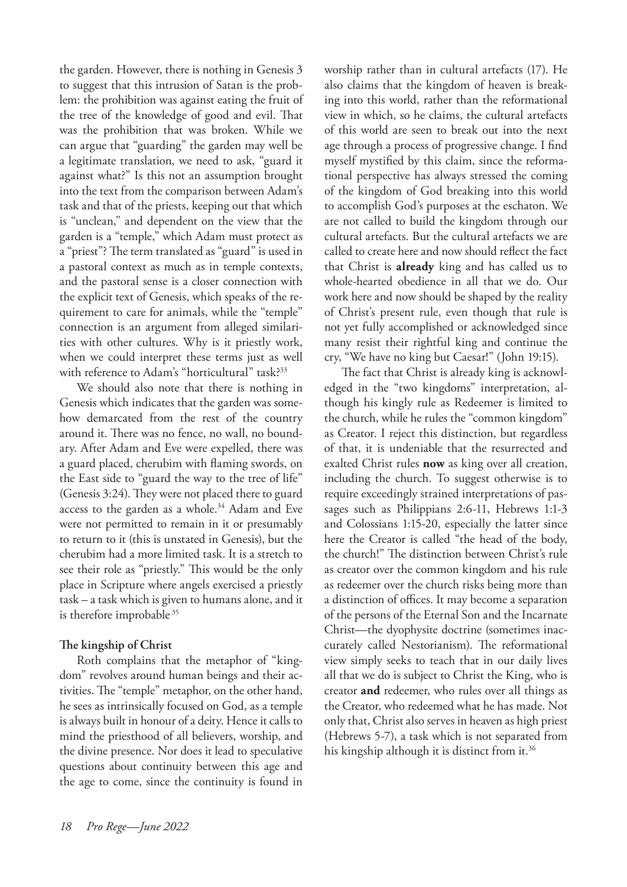the garden. However, there is nothing in Genesis 3 to suggest that this intrusion of Satan is the problem: the prohibition was against eating the fruit of the tree of the knowledge of good and evil. That was the prohibition that was broken. While we can argue that "guarding" the garden may well be a legitimate translation, we need to ask, "guard it against what?" Is this not an assumption brought into the text from the comparison between Adam's task and that of the priests, keeping out that which is "unclean," and dependent on the view that the garden is a "temple," which Adam must protect as a "priest"? The term translated as "guard" is used in a pastoral context as much as in temple contexts, and the pastoral sense is a closer connection with the explicit text of Genesis, which speaks of the requirement to care for animals, while the "temple" connection is an argument from alleged similarities with other cultures. Why is it priestly work, when we could interpret these terms just as well with reference to Adam's "horticultural" task?<sup>33</sup>

We should also note that there is nothing in Genesis which indicates that the garden was somehow demarcated from the rest of the country around it. There was no fence, no wall, no boundary. After Adam and Eve were expelled, there was a guard placed, cherubim with flaming swords, on the East side to "guard the way to the tree of life" (Genesis 3:24). They were not placed there to guard access to the garden as a whole.<sup>34</sup> Adam and Eve were not permitted to remain in it or presumably to return to it (this is unstated in Genesis), but the cherubim had a more limited task. It is a stretch to see their role as "priestly." This would be the only place in Scripture where angels exercised a priestly task – a task which is given to humans alone, and it is therefore improbable<sup>35</sup>

# **The kingship of Christ**

Roth complains that the metaphor of "kingdom" revolves around human beings and their activities. The "temple" metaphor, on the other hand, he sees as intrinsically focused on God, as a temple is always built in honour of a deity. Hence it calls to mind the priesthood of all believers, worship, and the divine presence. Nor does it lead to speculative questions about continuity between this age and the age to come, since the continuity is found in worship rather than in cultural artefacts (17). He also claims that the kingdom of heaven is breaking into this world, rather than the reformational view in which, so he claims, the cultural artefacts of this world are seen to break out into the next age through a process of progressive change. I find myself mystified by this claim, since the reformational perspective has always stressed the coming of the kingdom of God breaking into this world to accomplish God's purposes at the eschaton. We are not called to build the kingdom through our cultural artefacts. But the cultural artefacts we are called to create here and now should reflect the fact that Christ is **already** king and has called us to whole-hearted obedience in all that we do. Our work here and now should be shaped by the reality of Christ's present rule, even though that rule is not yet fully accomplished or acknowledged since many resist their rightful king and continue the cry, "We have no king but Caesar!" (John 19:15).

The fact that Christ is already king is acknowledged in the "two kingdoms" interpretation, although his kingly rule as Redeemer is limited to the church, while he rules the "common kingdom" as Creator. I reject this distinction, but regardless of that, it is undeniable that the resurrected and exalted Christ rules **now** as king over all creation, including the church. To suggest otherwise is to require exceedingly strained interpretations of passages such as Philippians 2:6-11, Hebrews 1:1-3 and Colossians 1:15-20, especially the latter since here the Creator is called "the head of the body, the church!" The distinction between Christ's rule as creator over the common kingdom and his rule as redeemer over the church risks being more than a distinction of offices. It may become a separation of the persons of the Eternal Son and the Incarnate Christ—the dyophysite doctrine (sometimes inaccurately called Nestorianism). The reformational view simply seeks to teach that in our daily lives all that we do is subject to Christ the King, who is creator **and** redeemer, who rules over all things as the Creator, who redeemed what he has made. Not only that, Christ also serves in heaven as high priest (Hebrews 5-7), a task which is not separated from his kingship although it is distinct from it.<sup>36</sup>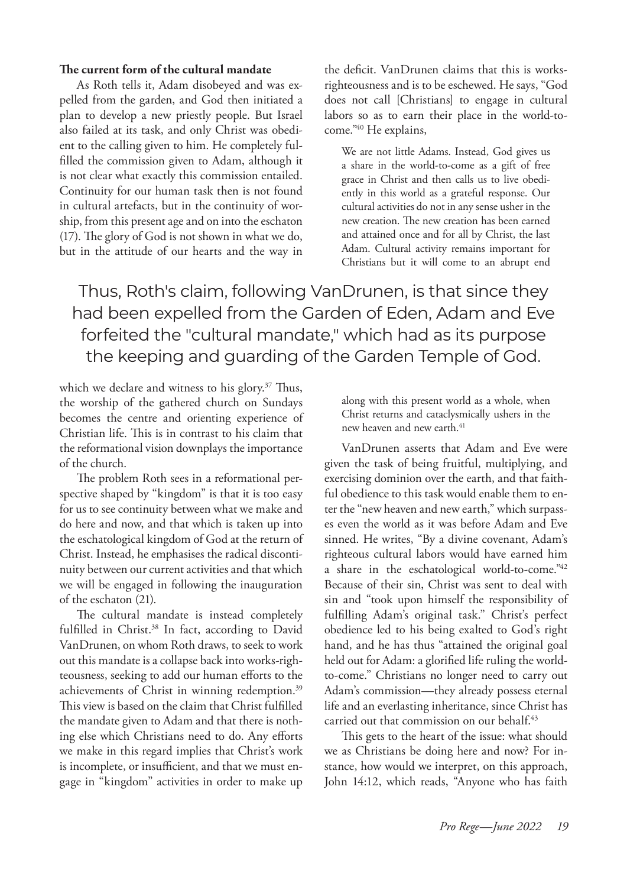### **The current form of the cultural mandate**

As Roth tells it, Adam disobeyed and was expelled from the garden, and God then initiated a plan to develop a new priestly people. But Israel also failed at its task, and only Christ was obedient to the calling given to him. He completely fulfilled the commission given to Adam, although it is not clear what exactly this commission entailed. Continuity for our human task then is not found in cultural artefacts, but in the continuity of worship, from this present age and on into the eschaton (17). The glory of God is not shown in what we do, but in the attitude of our hearts and the way in the deficit. VanDrunen claims that this is worksrighteousness and is to be eschewed. He says, "God does not call [Christians] to engage in cultural labors so as to earn their place in the world-tocome."40 He explains,

We are not little Adams. Instead, God gives us a share in the world-to-come as a gift of free grace in Christ and then calls us to live obediently in this world as a grateful response. Our cultural activities do not in any sense usher in the new creation. The new creation has been earned and attained once and for all by Christ, the last Adam. Cultural activity remains important for Christians but it will come to an abrupt end

Thus, Roth's claim, following VanDrunen, is that since they had been expelled from the Garden of Eden, Adam and Eve forfeited the "cultural mandate," which had as its purpose the keeping and guarding of the Garden Temple of God.

which we declare and witness to his glory.<sup>37</sup> Thus, the worship of the gathered church on Sundays becomes the centre and orienting experience of Christian life. This is in contrast to his claim that the reformational vision downplays the importance of the church.

The problem Roth sees in a reformational perspective shaped by "kingdom" is that it is too easy for us to see continuity between what we make and do here and now, and that which is taken up into the eschatological kingdom of God at the return of Christ. Instead, he emphasises the radical discontinuity between our current activities and that which we will be engaged in following the inauguration of the eschaton (21).

The cultural mandate is instead completely fulfilled in Christ.<sup>38</sup> In fact, according to David VanDrunen, on whom Roth draws, to seek to work out this mandate is a collapse back into works-righteousness, seeking to add our human efforts to the achievements of Christ in winning redemption.<sup>39</sup> This view is based on the claim that Christ fulfilled the mandate given to Adam and that there is nothing else which Christians need to do. Any efforts we make in this regard implies that Christ's work is incomplete, or insufficient, and that we must engage in "kingdom" activities in order to make up along with this present world as a whole, when Christ returns and cataclysmically ushers in the new heaven and new earth.<sup>41</sup>

VanDrunen asserts that Adam and Eve were given the task of being fruitful, multiplying, and exercising dominion over the earth, and that faithful obedience to this task would enable them to enter the "new heaven and new earth," which surpasses even the world as it was before Adam and Eve sinned. He writes, "By a divine covenant, Adam's righteous cultural labors would have earned him a share in the eschatological world-to-come."42 Because of their sin, Christ was sent to deal with sin and "took upon himself the responsibility of fulfilling Adam's original task." Christ's perfect obedience led to his being exalted to God's right hand, and he has thus "attained the original goal held out for Adam: a glorified life ruling the worldto-come." Christians no longer need to carry out Adam's commission—they already possess eternal life and an everlasting inheritance, since Christ has carried out that commission on our behalf.<sup>43</sup>

This gets to the heart of the issue: what should we as Christians be doing here and now? For instance, how would we interpret, on this approach, John 14:12, which reads, "Anyone who has faith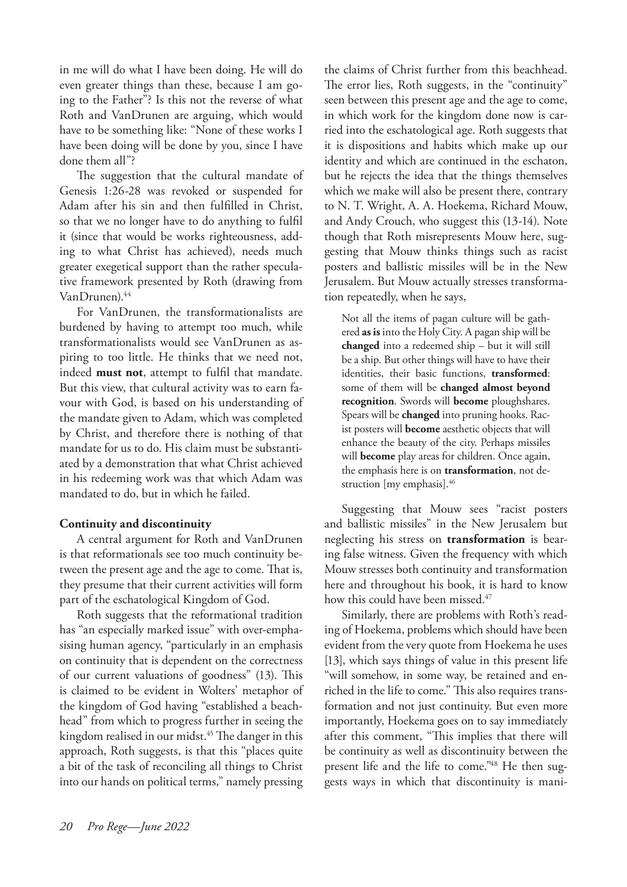in me will do what I have been doing. He will do even greater things than these, because I am going to the Father"? Is this not the reverse of what Roth and VanDrunen are arguing, which would have to be something like: "None of these works I have been doing will be done by you, since I have done them all"?

The suggestion that the cultural mandate of Genesis 1:26-28 was revoked or suspended for Adam after his sin and then fulfilled in Christ, so that we no longer have to do anything to fulfil it (since that would be works righteousness, adding to what Christ has achieved), needs much greater exegetical support than the rather speculative framework presented by Roth (drawing from VanDrunen).44

For VanDrunen, the transformationalists are burdened by having to attempt too much, while transformationalists would see VanDrunen as aspiring to too little. He thinks that we need not, indeed **must not**, attempt to fulfil that mandate. But this view, that cultural activity was to earn favour with God, is based on his understanding of the mandate given to Adam, which was completed by Christ, and therefore there is nothing of that mandate for us to do. His claim must be substantiated by a demonstration that what Christ achieved in his redeeming work was that which Adam was mandated to do, but in which he failed.

# **Continuity and discontinuity**

A central argument for Roth and VanDrunen is that reformationals see too much continuity between the present age and the age to come. That is, they presume that their current activities will form part of the eschatological Kingdom of God.

Roth suggests that the reformational tradition has "an especially marked issue" with over-emphasising human agency, "particularly in an emphasis on continuity that is dependent on the correctness of our current valuations of goodness" (13). This is claimed to be evident in Wolters' metaphor of the kingdom of God having "established a beachhead" from which to progress further in seeing the kingdom realised in our midst.<sup>45</sup> The danger in this approach, Roth suggests, is that this "places quite a bit of the task of reconciling all things to Christ into our hands on political terms," namely pressing the claims of Christ further from this beachhead. The error lies, Roth suggests, in the "continuity" seen between this present age and the age to come, in which work for the kingdom done now is carried into the eschatological age. Roth suggests that it is dispositions and habits which make up our identity and which are continued in the eschaton, but he rejects the idea that the things themselves which we make will also be present there, contrary to N. T. Wright, A. A. Hoekema, Richard Mouw, and Andy Crouch, who suggest this (13-14). Note though that Roth misrepresents Mouw here, suggesting that Mouw thinks things such as racist posters and ballistic missiles will be in the New Jerusalem. But Mouw actually stresses transformation repeatedly, when he says,

Not all the items of pagan culture will be gathered **as is** into the Holy City. A pagan ship will be **changed** into a redeemed ship – but it will still be a ship. But other things will have to have their identities, their basic functions, **transformed**: some of them will be **changed almost beyond recognition**. Swords will **become** ploughshares. Spears will be **changed** into pruning hooks. Racist posters will **become** aesthetic objects that will enhance the beauty of the city. Perhaps missiles will **become** play areas for children. Once again, the emphasis here is on **transformation**, not destruction [my emphasis].<sup>46</sup>

Suggesting that Mouw sees "racist posters and ballistic missiles" in the New Jerusalem but neglecting his stress on **transformation** is bearing false witness. Given the frequency with which Mouw stresses both continuity and transformation here and throughout his book, it is hard to know how this could have been missed.<sup>47</sup>

Similarly, there are problems with Roth's reading of Hoekema, problems which should have been evident from the very quote from Hoekema he uses [13], which says things of value in this present life "will somehow, in some way, be retained and enriched in the life to come." This also requires transformation and not just continuity. But even more importantly, Hoekema goes on to say immediately after this comment, "This implies that there will be continuity as well as discontinuity between the present life and the life to come."<sup>48</sup> He then suggests ways in which that discontinuity is mani-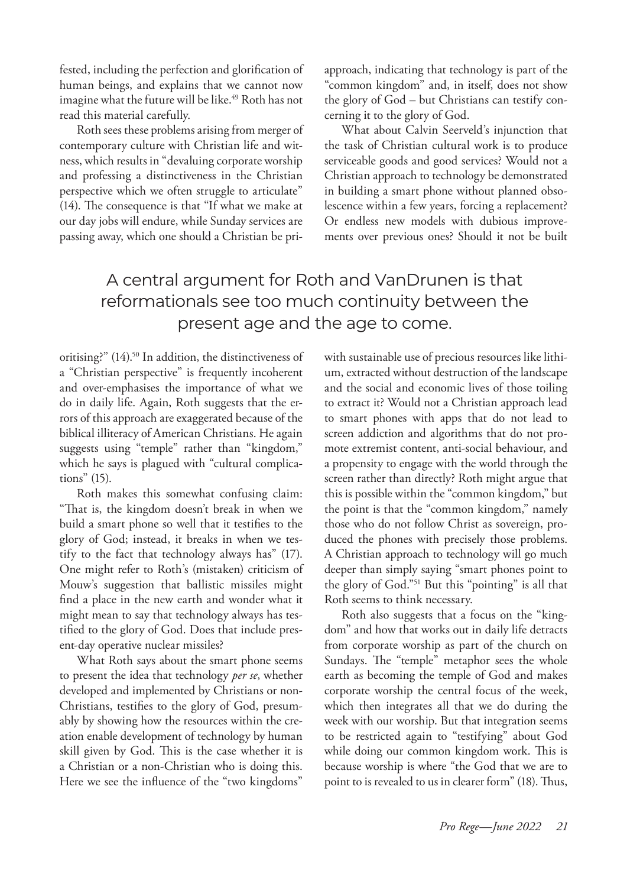fested, including the perfection and glorification of human beings, and explains that we cannot now imagine what the future will be like.<sup>49</sup> Roth has not read this material carefully.

Roth sees these problems arising from merger of contemporary culture with Christian life and witness, which results in "devaluing corporate worship and professing a distinctiveness in the Christian perspective which we often struggle to articulate" (14). The consequence is that "If what we make at our day jobs will endure, while Sunday services are passing away, which one should a Christian be priapproach, indicating that technology is part of the "common kingdom" and, in itself, does not show the glory of God – but Christians can testify concerning it to the glory of God.

What about Calvin Seerveld's injunction that the task of Christian cultural work is to produce serviceable goods and good services? Would not a Christian approach to technology be demonstrated in building a smart phone without planned obsolescence within a few years, forcing a replacement? Or endless new models with dubious improvements over previous ones? Should it not be built

# A central argument for Roth and VanDrunen is that reformationals see too much continuity between the present age and the age to come.

oritising?" (14).<sup>50</sup> In addition, the distinctiveness of a "Christian perspective" is frequently incoherent and over-emphasises the importance of what we do in daily life. Again, Roth suggests that the errors of this approach are exaggerated because of the biblical illiteracy of American Christians. He again suggests using "temple" rather than "kingdom," which he says is plagued with "cultural complications" (15).

Roth makes this somewhat confusing claim: "That is, the kingdom doesn't break in when we build a smart phone so well that it testifies to the glory of God; instead, it breaks in when we testify to the fact that technology always has" (17). One might refer to Roth's (mistaken) criticism of Mouw's suggestion that ballistic missiles might find a place in the new earth and wonder what it might mean to say that technology always has testified to the glory of God. Does that include present-day operative nuclear missiles?

What Roth says about the smart phone seems to present the idea that technology *per se*, whether developed and implemented by Christians or non-Christians, testifies to the glory of God, presumably by showing how the resources within the creation enable development of technology by human skill given by God. This is the case whether it is a Christian or a non-Christian who is doing this. Here we see the influence of the "two kingdoms"

with sustainable use of precious resources like lithium, extracted without destruction of the landscape and the social and economic lives of those toiling to extract it? Would not a Christian approach lead to smart phones with apps that do not lead to screen addiction and algorithms that do not promote extremist content, anti-social behaviour, and a propensity to engage with the world through the screen rather than directly? Roth might argue that this is possible within the "common kingdom," but the point is that the "common kingdom," namely those who do not follow Christ as sovereign, produced the phones with precisely those problems. A Christian approach to technology will go much deeper than simply saying "smart phones point to the glory of God."51 But this "pointing" is all that Roth seems to think necessary.

Roth also suggests that a focus on the "kingdom" and how that works out in daily life detracts from corporate worship as part of the church on Sundays. The "temple" metaphor sees the whole earth as becoming the temple of God and makes corporate worship the central focus of the week, which then integrates all that we do during the week with our worship. But that integration seems to be restricted again to "testifying" about God while doing our common kingdom work. This is because worship is where "the God that we are to point to is revealed to us in clearer form" (18). Thus,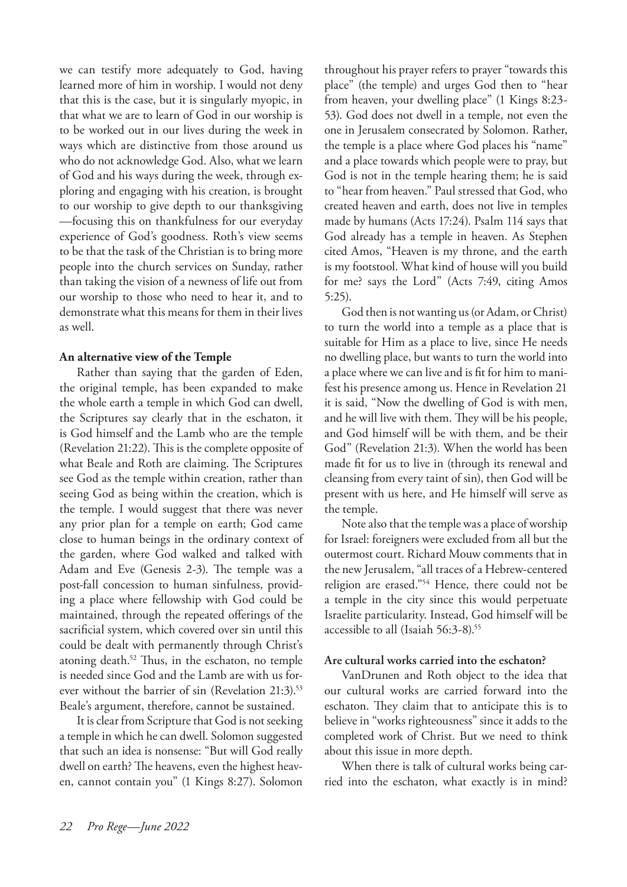we can testify more adequately to God, having learned more of him in worship. I would not deny that this is the case, but it is singularly myopic, in that what we are to learn of God in our worship is to be worked out in our lives during the week in ways which are distinctive from those around us who do not acknowledge God. Also, what we learn of God and his ways during the week, through exploring and engaging with his creation, is brought to our worship to give depth to our thanksgiving —focusing this on thankfulness for our everyday experience of God's goodness. Roth's view seems to be that the task of the Christian is to bring more people into the church services on Sunday, rather than taking the vision of a newness of life out from our worship to those who need to hear it, and to demonstrate what this means for them in their lives as well.

# **An alternative view of the Temple**

Rather than saying that the garden of Eden, the original temple, has been expanded to make the whole earth a temple in which God can dwell, the Scriptures say clearly that in the eschaton, it is God himself and the Lamb who are the temple (Revelation 21:22). This is the complete opposite of what Beale and Roth are claiming. The Scriptures see God as the temple within creation, rather than seeing God as being within the creation, which is the temple. I would suggest that there was never any prior plan for a temple on earth; God came close to human beings in the ordinary context of the garden, where God walked and talked with Adam and Eve (Genesis 2-3). The temple was a post-fall concession to human sinfulness, providing a place where fellowship with God could be maintained, through the repeated offerings of the sacrificial system, which covered over sin until this could be dealt with permanently through Christ's atoning death.52 Thus, in the eschaton, no temple is needed since God and the Lamb are with us forever without the barrier of sin (Revelation  $21:3$ ).<sup>53</sup> Beale's argument, therefore, cannot be sustained.

It is clear from Scripture that God is not seeking a temple in which he can dwell. Solomon suggested that such an idea is nonsense: "But will God really dwell on earth? The heavens, even the highest heaven, cannot contain you" (1 Kings 8:27). Solomon

throughout his prayer refers to prayer "towards this place" (the temple) and urges God then to "hear from heaven, your dwelling place" (1 Kings 8:23- 53). God does not dwell in a temple, not even the one in Jerusalem consecrated by Solomon. Rather, the temple is a place where God places his "name" and a place towards which people were to pray, but God is not in the temple hearing them; he is said to "hear from heaven." Paul stressed that God, who created heaven and earth, does not live in temples made by humans (Acts 17:24). Psalm 114 says that God already has a temple in heaven. As Stephen cited Amos, "Heaven is my throne, and the earth is my footstool. What kind of house will you build for me? says the Lord" (Acts 7:49, citing Amos 5:25).

God then is not wanting us (or Adam, or Christ) to turn the world into a temple as a place that is suitable for Him as a place to live, since He needs no dwelling place, but wants to turn the world into a place where we can live and is fit for him to manifest his presence among us. Hence in Revelation 21 it is said, "Now the dwelling of God is with men, and he will live with them. They will be his people, and God himself will be with them, and be their God" (Revelation 21:3). When the world has been made fit for us to live in (through its renewal and cleansing from every taint of sin), then God will be present with us here, and He himself will serve as the temple.

Note also that the temple was a place of worship for Israel: foreigners were excluded from all but the outermost court. Richard Mouw comments that in the new Jerusalem, "all traces of a Hebrew-centered religion are erased."54 Hence, there could not be a temple in the city since this would perpetuate Israelite particularity. Instead, God himself will be accessible to all (Isaiah 56:3-8).<sup>55</sup>

# **Are cultural works carried into the eschaton?**

VanDrunen and Roth object to the idea that our cultural works are carried forward into the eschaton. They claim that to anticipate this is to believe in "works righteousness" since it adds to the completed work of Christ. But we need to think about this issue in more depth.

When there is talk of cultural works being carried into the eschaton, what exactly is in mind?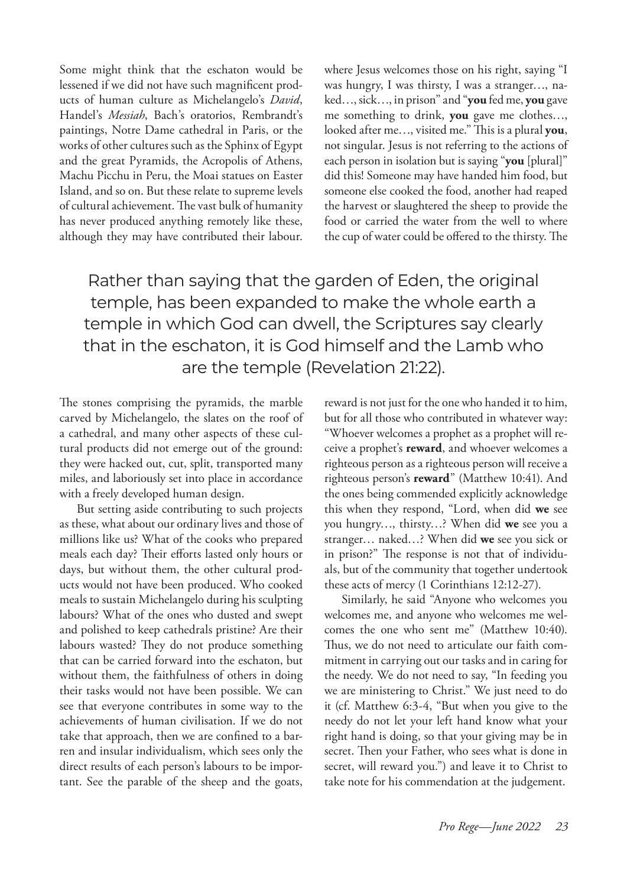Some might think that the eschaton would be lessened if we did not have such magnificent products of human culture as Michelangelo's *David*, Handel's *Messiah*, Bach's oratorios, Rembrandt's paintings, Notre Dame cathedral in Paris, or the works of other cultures such as the Sphinx of Egypt and the great Pyramids, the Acropolis of Athens, Machu Picchu in Peru, the Moai statues on Easter Island, and so on. But these relate to supreme levels of cultural achievement. The vast bulk of humanity has never produced anything remotely like these, although they may have contributed their labour. where Jesus welcomes those on his right, saying "I was hungry, I was thirsty, I was a stranger…, naked…, sick…, in prison" and "**you** fed me, **you** gave me something to drink, **you** gave me clothes…, looked after me…, visited me." This is a plural **you**, not singular. Jesus is not referring to the actions of each person in isolation but is saying "**you** [plural]" did this! Someone may have handed him food, but someone else cooked the food, another had reaped the harvest or slaughtered the sheep to provide the food or carried the water from the well to where the cup of water could be offered to the thirsty. The

Rather than saying that the garden of Eden, the original temple, has been expanded to make the whole earth a temple in which God can dwell, the Scriptures say clearly that in the eschaton, it is God himself and the Lamb who are the temple (Revelation 21:22).

The stones comprising the pyramids, the marble carved by Michelangelo, the slates on the roof of a cathedral, and many other aspects of these cultural products did not emerge out of the ground: they were hacked out, cut, split, transported many miles, and laboriously set into place in accordance with a freely developed human design.

But setting aside contributing to such projects as these, what about our ordinary lives and those of millions like us? What of the cooks who prepared meals each day? Their efforts lasted only hours or days, but without them, the other cultural products would not have been produced. Who cooked meals to sustain Michelangelo during his sculpting labours? What of the ones who dusted and swept and polished to keep cathedrals pristine? Are their labours wasted? They do not produce something that can be carried forward into the eschaton, but without them, the faithfulness of others in doing their tasks would not have been possible. We can see that everyone contributes in some way to the achievements of human civilisation. If we do not take that approach, then we are confined to a barren and insular individualism, which sees only the direct results of each person's labours to be important. See the parable of the sheep and the goats,

reward is not just for the one who handed it to him, but for all those who contributed in whatever way: "Whoever welcomes a prophet as a prophet will receive a prophet's **reward**, and whoever welcomes a righteous person as a righteous person will receive a righteous person's **reward**" (Matthew 10:41). And the ones being commended explicitly acknowledge this when they respond, "Lord, when did **we** see you hungry…, thirsty…? When did **we** see you a stranger… naked…? When did **we** see you sick or in prison?" The response is not that of individuals, but of the community that together undertook these acts of mercy (1 Corinthians 12:12-27).

Similarly, he said "Anyone who welcomes you welcomes me, and anyone who welcomes me welcomes the one who sent me" (Matthew 10:40). Thus, we do not need to articulate our faith commitment in carrying out our tasks and in caring for the needy. We do not need to say, "In feeding you we are ministering to Christ." We just need to do it (cf. Matthew 6:3-4, "But when you give to the needy do not let your left hand know what your right hand is doing, so that your giving may be in secret. Then your Father, who sees what is done in secret, will reward you.") and leave it to Christ to take note for his commendation at the judgement.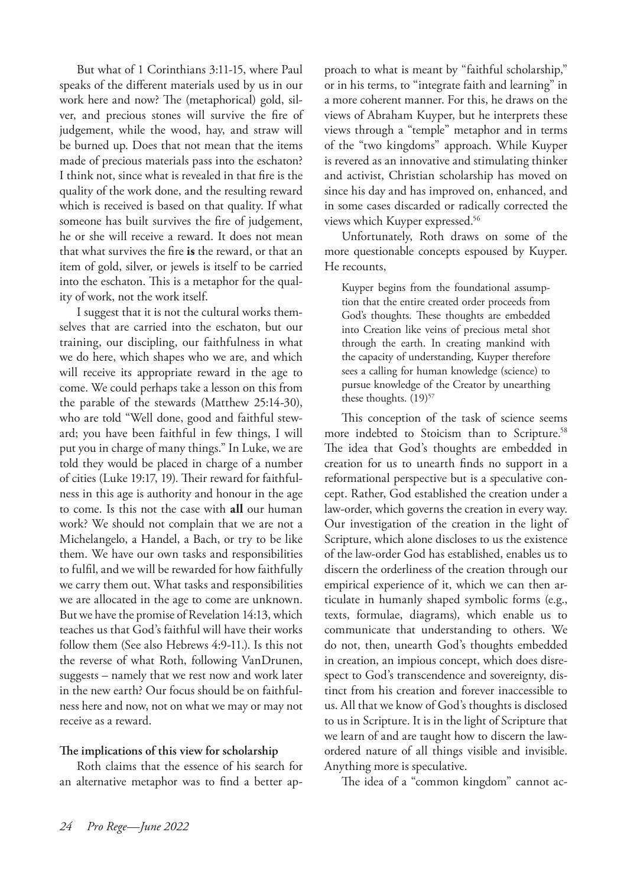But what of 1 Corinthians 3:11-15, where Paul speaks of the different materials used by us in our work here and now? The (metaphorical) gold, silver, and precious stones will survive the fire of judgement, while the wood, hay, and straw will be burned up. Does that not mean that the items made of precious materials pass into the eschaton? I think not, since what is revealed in that fire is the quality of the work done, and the resulting reward which is received is based on that quality. If what someone has built survives the fire of judgement, he or she will receive a reward. It does not mean that what survives the fire **is** the reward, or that an item of gold, silver, or jewels is itself to be carried into the eschaton. This is a metaphor for the quality of work, not the work itself.

I suggest that it is not the cultural works themselves that are carried into the eschaton, but our training, our discipling, our faithfulness in what we do here, which shapes who we are, and which will receive its appropriate reward in the age to come. We could perhaps take a lesson on this from the parable of the stewards (Matthew 25:14-30), who are told "Well done, good and faithful steward; you have been faithful in few things, I will put you in charge of many things." In Luke, we are told they would be placed in charge of a number of cities (Luke 19:17, 19). Their reward for faithfulness in this age is authority and honour in the age to come. Is this not the case with **all** our human work? We should not complain that we are not a Michelangelo, a Handel, a Bach, or try to be like them. We have our own tasks and responsibilities to fulfil, and we will be rewarded for how faithfully we carry them out. What tasks and responsibilities we are allocated in the age to come are unknown. But we have the promise of Revelation 14:13, which teaches us that God's faithful will have their works follow them (See also Hebrews 4:9-11.). Is this not the reverse of what Roth, following VanDrunen, suggests – namely that we rest now and work later in the new earth? Our focus should be on faithfulness here and now, not on what we may or may not receive as a reward.

### **The implications of this view for scholarship**

Roth claims that the essence of his search for an alternative metaphor was to find a better approach to what is meant by "faithful scholarship," or in his terms, to "integrate faith and learning" in a more coherent manner. For this, he draws on the views of Abraham Kuyper, but he interprets these views through a "temple" metaphor and in terms of the "two kingdoms" approach. While Kuyper is revered as an innovative and stimulating thinker and activist, Christian scholarship has moved on since his day and has improved on, enhanced, and in some cases discarded or radically corrected the views which Kuyper expressed.56

Unfortunately, Roth draws on some of the more questionable concepts espoused by Kuyper. He recounts,

Kuyper begins from the foundational assumption that the entire created order proceeds from God's thoughts. These thoughts are embedded into Creation like veins of precious metal shot through the earth. In creating mankind with the capacity of understanding, Kuyper therefore sees a calling for human knowledge (science) to pursue knowledge of the Creator by unearthing these thoughts.  $(19)^{57}$ 

This conception of the task of science seems more indebted to Stoicism than to Scripture.<sup>58</sup> The idea that God's thoughts are embedded in creation for us to unearth finds no support in a reformational perspective but is a speculative concept. Rather, God established the creation under a law-order, which governs the creation in every way. Our investigation of the creation in the light of Scripture, which alone discloses to us the existence of the law-order God has established, enables us to discern the orderliness of the creation through our empirical experience of it, which we can then articulate in humanly shaped symbolic forms (e.g., texts, formulae, diagrams), which enable us to communicate that understanding to others. We do not, then, unearth God's thoughts embedded in creation, an impious concept, which does disrespect to God's transcendence and sovereignty, distinct from his creation and forever inaccessible to us. All that we know of God's thoughts is disclosed to us in Scripture. It is in the light of Scripture that we learn of and are taught how to discern the lawordered nature of all things visible and invisible. Anything more is speculative.

The idea of a "common kingdom" cannot ac-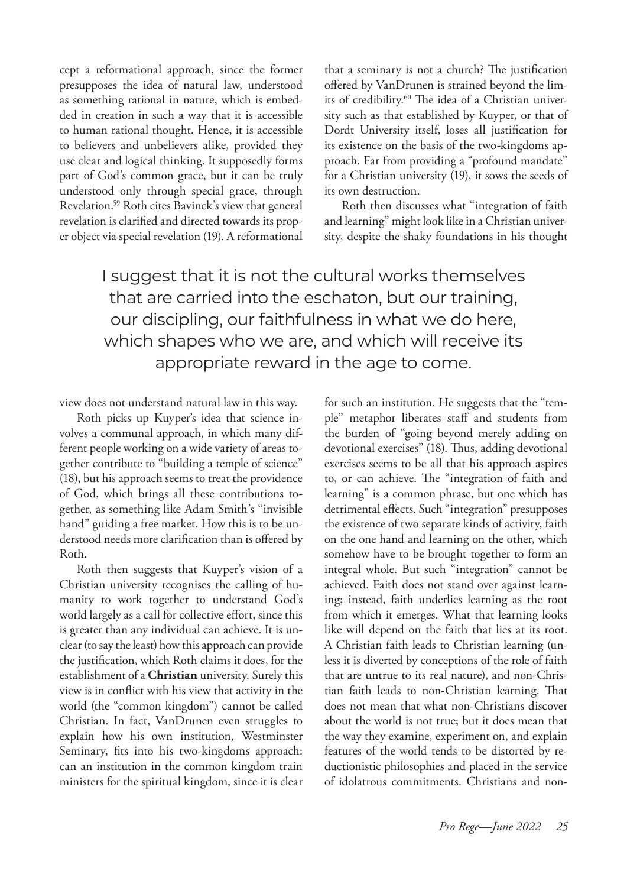cept a reformational approach, since the former presupposes the idea of natural law, understood as something rational in nature, which is embedded in creation in such a way that it is accessible to human rational thought. Hence, it is accessible to believers and unbelievers alike, provided they use clear and logical thinking. It supposedly forms part of God's common grace, but it can be truly understood only through special grace, through Revelation.59 Roth cites Bavinck's view that general revelation is clarified and directed towards its proper object via special revelation (19). A reformational that a seminary is not a church? The justification offered by VanDrunen is strained beyond the limits of credibility.<sup>60</sup> The idea of a Christian university such as that established by Kuyper, or that of Dordt University itself, loses all justification for its existence on the basis of the two-kingdoms approach. Far from providing a "profound mandate" for a Christian university (19), it sows the seeds of its own destruction.

Roth then discusses what "integration of faith and learning" might look like in a Christian university, despite the shaky foundations in his thought

# I suggest that it is not the cultural works themselves that are carried into the eschaton, but our training, our discipling, our faithfulness in what we do here, which shapes who we are, and which will receive its appropriate reward in the age to come.

view does not understand natural law in this way.

Roth picks up Kuyper's idea that science involves a communal approach, in which many different people working on a wide variety of areas together contribute to "building a temple of science" (18), but his approach seems to treat the providence of God, which brings all these contributions together, as something like Adam Smith's "invisible hand" guiding a free market. How this is to be understood needs more clarification than is offered by Roth.

Roth then suggests that Kuyper's vision of a Christian university recognises the calling of humanity to work together to understand God's world largely as a call for collective effort, since this is greater than any individual can achieve. It is unclear (to say the least) how this approach can provide the justification, which Roth claims it does, for the establishment of a **Christian** university. Surely this view is in conflict with his view that activity in the world (the "common kingdom") cannot be called Christian. In fact, VanDrunen even struggles to explain how his own institution, Westminster Seminary, fits into his two-kingdoms approach: can an institution in the common kingdom train ministers for the spiritual kingdom, since it is clear

for such an institution. He suggests that the "temple" metaphor liberates staff and students from the burden of "going beyond merely adding on devotional exercises" (18). Thus, adding devotional exercises seems to be all that his approach aspires to, or can achieve. The "integration of faith and learning" is a common phrase, but one which has detrimental effects. Such "integration" presupposes the existence of two separate kinds of activity, faith on the one hand and learning on the other, which somehow have to be brought together to form an integral whole. But such "integration" cannot be achieved. Faith does not stand over against learning; instead, faith underlies learning as the root from which it emerges. What that learning looks like will depend on the faith that lies at its root. A Christian faith leads to Christian learning (unless it is diverted by conceptions of the role of faith that are untrue to its real nature), and non-Christian faith leads to non-Christian learning. That does not mean that what non-Christians discover about the world is not true; but it does mean that the way they examine, experiment on, and explain features of the world tends to be distorted by reductionistic philosophies and placed in the service of idolatrous commitments. Christians and non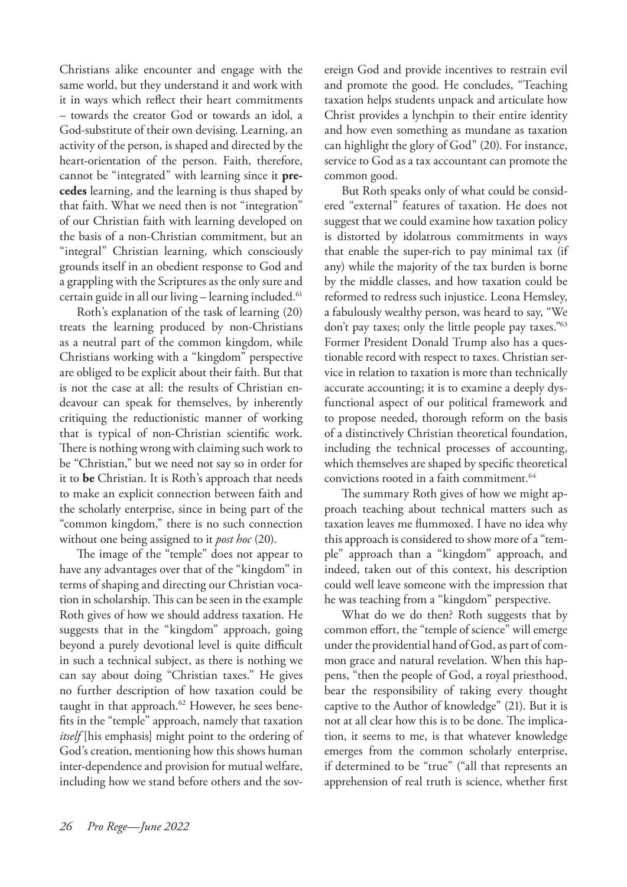Christians alike encounter and engage with the same world, but they understand it and work with it in ways which reflect their heart commitments – towards the creator God or towards an idol, a God-substitute of their own devising. Learning, an activity of the person, is shaped and directed by the heart-orientation of the person. Faith, therefore, cannot be "integrated" with learning since it **precedes** learning, and the learning is thus shaped by that faith. What we need then is not "integration" of our Christian faith with learning developed on the basis of a non-Christian commitment, but an "integral" Christian learning, which consciously grounds itself in an obedient response to God and a grappling with the Scriptures as the only sure and certain guide in all our living - learning included.<sup>61</sup>

Roth's explanation of the task of learning (20) treats the learning produced by non-Christians as a neutral part of the common kingdom, while Christians working with a "kingdom" perspective are obliged to be explicit about their faith. But that is not the case at all: the results of Christian endeavour can speak for themselves, by inherently critiquing the reductionistic manner of working that is typical of non-Christian scientific work. There is nothing wrong with claiming such work to be "Christian," but we need not say so in order for it to **be** Christian. It is Roth's approach that needs to make an explicit connection between faith and the scholarly enterprise, since in being part of the "common kingdom," there is no such connection without one being assigned to it *post hoc* (20).

The image of the "temple" does not appear to have any advantages over that of the "kingdom" in terms of shaping and directing our Christian vocation in scholarship. This can be seen in the example Roth gives of how we should address taxation. He suggests that in the "kingdom" approach, going beyond a purely devotional level is quite difficult in such a technical subject, as there is nothing we can say about doing "Christian taxes." He gives no further description of how taxation could be taught in that approach.<sup>62</sup> However, he sees benefits in the "temple" approach, namely that taxation *itself* [his emphasis] might point to the ordering of God's creation, mentioning how this shows human inter-dependence and provision for mutual welfare, including how we stand before others and the sovereign God and provide incentives to restrain evil and promote the good. He concludes, "Teaching taxation helps students unpack and articulate how Christ provides a lynchpin to their entire identity and how even something as mundane as taxation can highlight the glory of God" (20). For instance, service to God as a tax accountant can promote the common good.

But Roth speaks only of what could be considered "external" features of taxation. He does not suggest that we could examine how taxation policy is distorted by idolatrous commitments in ways that enable the super-rich to pay minimal tax (if any) while the majority of the tax burden is borne by the middle classes, and how taxation could be reformed to redress such injustice. Leona Hemsley, a fabulously wealthy person, was heard to say, "We don't pay taxes; only the little people pay taxes."63 Former President Donald Trump also has a questionable record with respect to taxes. Christian service in relation to taxation is more than technically accurate accounting; it is to examine a deeply dysfunctional aspect of our political framework and to propose needed, thorough reform on the basis of a distinctively Christian theoretical foundation, including the technical processes of accounting, which themselves are shaped by specific theoretical convictions rooted in a faith commitment.<sup>64</sup>

The summary Roth gives of how we might approach teaching about technical matters such as taxation leaves me flummoxed. I have no idea why this approach is considered to show more of a "temple" approach than a "kingdom" approach, and indeed, taken out of this context, his description could well leave someone with the impression that he was teaching from a "kingdom" perspective.

What do we do then? Roth suggests that by common effort, the "temple of science" will emerge under the providential hand of God, as part of common grace and natural revelation. When this happens, "then the people of God, a royal priesthood, bear the responsibility of taking every thought captive to the Author of knowledge" (21). But it is not at all clear how this is to be done. The implication, it seems to me, is that whatever knowledge emerges from the common scholarly enterprise, if determined to be "true" ("all that represents an apprehension of real truth is science, whether first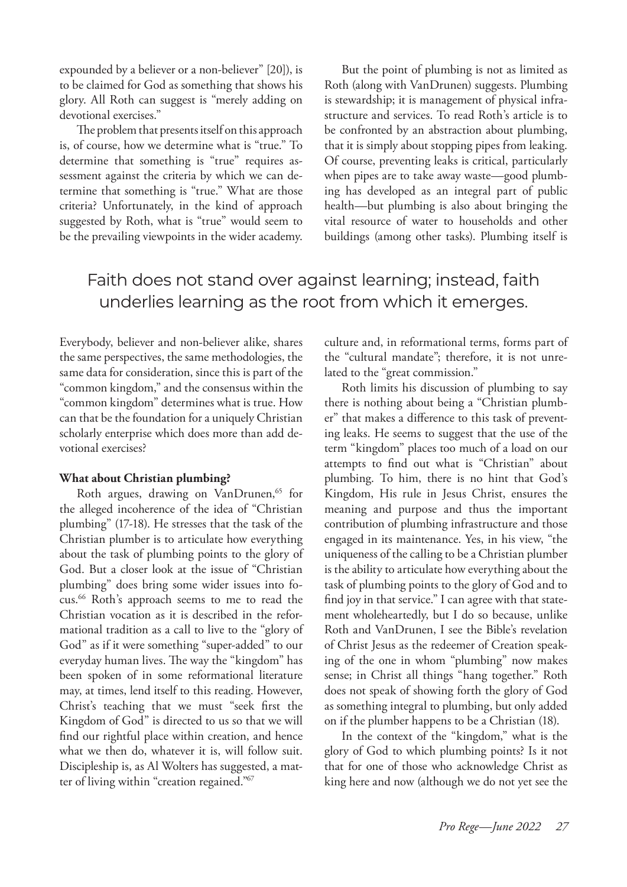expounded by a believer or a non-believer" [20]), is to be claimed for God as something that shows his glory. All Roth can suggest is "merely adding on devotional exercises."

The problem that presents itself on this approach is, of course, how we determine what is "true." To determine that something is "true" requires assessment against the criteria by which we can determine that something is "true." What are those criteria? Unfortunately, in the kind of approach suggested by Roth, what is "true" would seem to be the prevailing viewpoints in the wider academy.

But the point of plumbing is not as limited as Roth (along with VanDrunen) suggests. Plumbing is stewardship; it is management of physical infrastructure and services. To read Roth's article is to be confronted by an abstraction about plumbing, that it is simply about stopping pipes from leaking. Of course, preventing leaks is critical, particularly when pipes are to take away waste—good plumbing has developed as an integral part of public health—but plumbing is also about bringing the vital resource of water to households and other buildings (among other tasks). Plumbing itself is

# Faith does not stand over against learning; instead, faith underlies learning as the root from which it emerges.

Everybody, believer and non-believer alike, shares the same perspectives, the same methodologies, the same data for consideration, since this is part of the "common kingdom," and the consensus within the "common kingdom" determines what is true. How can that be the foundation for a uniquely Christian scholarly enterprise which does more than add devotional exercises?

### **What about Christian plumbing?**

Roth argues, drawing on VanDrunen,<sup>65</sup> for the alleged incoherence of the idea of "Christian plumbing" (17-18). He stresses that the task of the Christian plumber is to articulate how everything about the task of plumbing points to the glory of God. But a closer look at the issue of "Christian plumbing" does bring some wider issues into focus.66 Roth's approach seems to me to read the Christian vocation as it is described in the reformational tradition as a call to live to the "glory of God" as if it were something "super-added" to our everyday human lives. The way the "kingdom" has been spoken of in some reformational literature may, at times, lend itself to this reading. However, Christ's teaching that we must "seek first the Kingdom of God" is directed to us so that we will find our rightful place within creation, and hence what we then do, whatever it is, will follow suit. Discipleship is, as Al Wolters has suggested, a matter of living within "creation regained."67

culture and, in reformational terms, forms part of the "cultural mandate"; therefore, it is not unrelated to the "great commission."

Roth limits his discussion of plumbing to say there is nothing about being a "Christian plumber" that makes a difference to this task of preventing leaks. He seems to suggest that the use of the term "kingdom" places too much of a load on our attempts to find out what is "Christian" about plumbing. To him, there is no hint that God's Kingdom, His rule in Jesus Christ, ensures the meaning and purpose and thus the important contribution of plumbing infrastructure and those engaged in its maintenance. Yes, in his view, "the uniqueness of the calling to be a Christian plumber is the ability to articulate how everything about the task of plumbing points to the glory of God and to find joy in that service." I can agree with that statement wholeheartedly, but I do so because, unlike Roth and VanDrunen, I see the Bible's revelation of Christ Jesus as the redeemer of Creation speaking of the one in whom "plumbing" now makes sense; in Christ all things "hang together." Roth does not speak of showing forth the glory of God as something integral to plumbing, but only added on if the plumber happens to be a Christian (18).

In the context of the "kingdom," what is the glory of God to which plumbing points? Is it not that for one of those who acknowledge Christ as king here and now (although we do not yet see the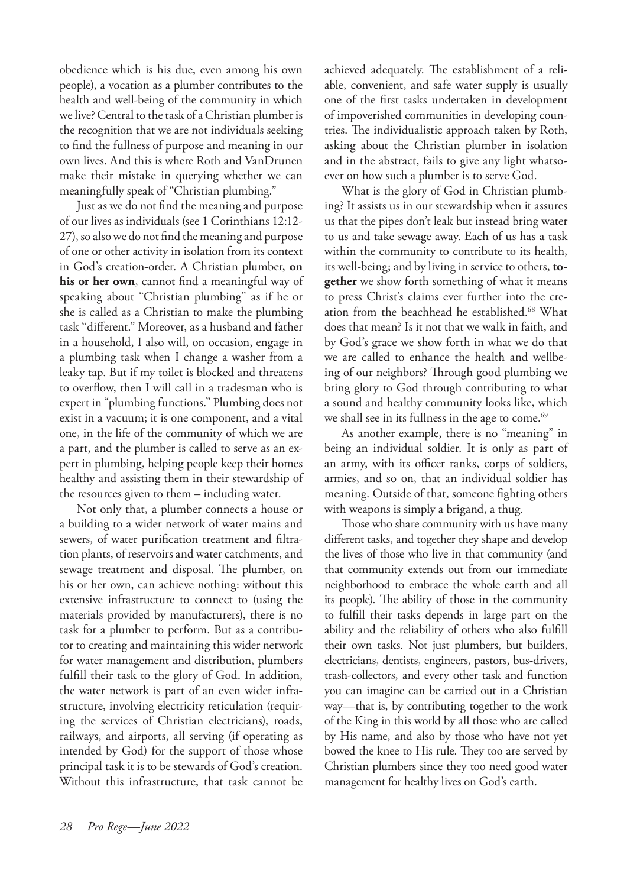obedience which is his due, even among his own people), a vocation as a plumber contributes to the health and well-being of the community in which we live? Central to the task of a Christian plumber is the recognition that we are not individuals seeking to find the fullness of purpose and meaning in our own lives. And this is where Roth and VanDrunen make their mistake in querying whether we can meaningfully speak of "Christian plumbing."

Just as we do not find the meaning and purpose of our lives as individuals (see 1 Corinthians 12:12- 27), so also we do not find the meaning and purpose of one or other activity in isolation from its context in God's creation-order. A Christian plumber, **on his or her own**, cannot find a meaningful way of speaking about "Christian plumbing" as if he or she is called as a Christian to make the plumbing task "different." Moreover, as a husband and father in a household, I also will, on occasion, engage in a plumbing task when I change a washer from a leaky tap. But if my toilet is blocked and threatens to overflow, then I will call in a tradesman who is expert in "plumbing functions." Plumbing does not exist in a vacuum; it is one component, and a vital one, in the life of the community of which we are a part, and the plumber is called to serve as an expert in plumbing, helping people keep their homes healthy and assisting them in their stewardship of the resources given to them – including water.

Not only that, a plumber connects a house or a building to a wider network of water mains and sewers, of water purification treatment and filtration plants, of reservoirs and water catchments, and sewage treatment and disposal. The plumber, on his or her own, can achieve nothing: without this extensive infrastructure to connect to (using the materials provided by manufacturers), there is no task for a plumber to perform. But as a contributor to creating and maintaining this wider network for water management and distribution, plumbers fulfill their task to the glory of God. In addition, the water network is part of an even wider infrastructure, involving electricity reticulation (requiring the services of Christian electricians), roads, railways, and airports, all serving (if operating as intended by God) for the support of those whose principal task it is to be stewards of God's creation. Without this infrastructure, that task cannot be

achieved adequately. The establishment of a reliable, convenient, and safe water supply is usually one of the first tasks undertaken in development of impoverished communities in developing countries. The individualistic approach taken by Roth, asking about the Christian plumber in isolation and in the abstract, fails to give any light whatsoever on how such a plumber is to serve God.

What is the glory of God in Christian plumbing? It assists us in our stewardship when it assures us that the pipes don't leak but instead bring water to us and take sewage away. Each of us has a task within the community to contribute to its health, its well-being; and by living in service to others, **together** we show forth something of what it means to press Christ's claims ever further into the creation from the beachhead he established.<sup>68</sup> What does that mean? Is it not that we walk in faith, and by God's grace we show forth in what we do that we are called to enhance the health and wellbeing of our neighbors? Through good plumbing we bring glory to God through contributing to what a sound and healthy community looks like, which we shall see in its fullness in the age to come.<sup>69</sup>

As another example, there is no "meaning" in being an individual soldier. It is only as part of an army, with its officer ranks, corps of soldiers, armies, and so on, that an individual soldier has meaning. Outside of that, someone fighting others with weapons is simply a brigand, a thug.

Those who share community with us have many different tasks, and together they shape and develop the lives of those who live in that community (and that community extends out from our immediate neighborhood to embrace the whole earth and all its people). The ability of those in the community to fulfill their tasks depends in large part on the ability and the reliability of others who also fulfill their own tasks. Not just plumbers, but builders, electricians, dentists, engineers, pastors, bus-drivers, trash-collectors, and every other task and function you can imagine can be carried out in a Christian way—that is, by contributing together to the work of the King in this world by all those who are called by His name, and also by those who have not yet bowed the knee to His rule. They too are served by Christian plumbers since they too need good water management for healthy lives on God's earth.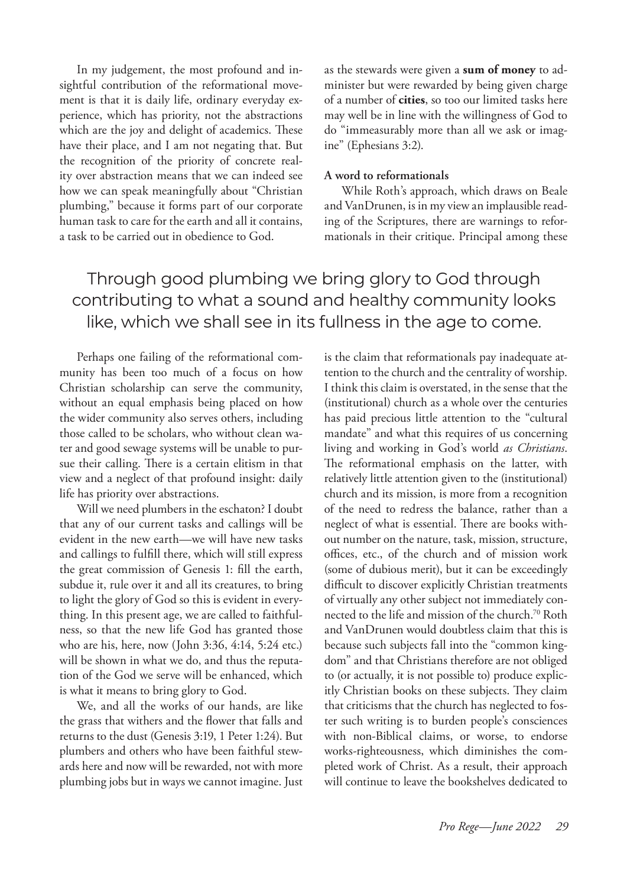In my judgement, the most profound and insightful contribution of the reformational movement is that it is daily life, ordinary everyday experience, which has priority, not the abstractions which are the joy and delight of academics. These have their place, and I am not negating that. But the recognition of the priority of concrete reality over abstraction means that we can indeed see how we can speak meaningfully about "Christian plumbing," because it forms part of our corporate human task to care for the earth and all it contains, a task to be carried out in obedience to God.

as the stewards were given a **sum of money** to administer but were rewarded by being given charge of a number of **cities**, so too our limited tasks here may well be in line with the willingness of God to do "immeasurably more than all we ask or imagine" (Ephesians 3:2).

## **A word to reformationals**

While Roth's approach, which draws on Beale and VanDrunen, is in my view an implausible reading of the Scriptures, there are warnings to reformationals in their critique. Principal among these

# Through good plumbing we bring glory to God through contributing to what a sound and healthy community looks like, which we shall see in its fullness in the age to come.

Perhaps one failing of the reformational community has been too much of a focus on how Christian scholarship can serve the community, without an equal emphasis being placed on how the wider community also serves others, including those called to be scholars, who without clean water and good sewage systems will be unable to pursue their calling. There is a certain elitism in that view and a neglect of that profound insight: daily life has priority over abstractions.

Will we need plumbers in the eschaton? I doubt that any of our current tasks and callings will be evident in the new earth—we will have new tasks and callings to fulfill there, which will still express the great commission of Genesis 1: fill the earth, subdue it, rule over it and all its creatures, to bring to light the glory of God so this is evident in everything. In this present age, we are called to faithfulness, so that the new life God has granted those who are his, here, now (John 3:36, 4:14, 5:24 etc.) will be shown in what we do, and thus the reputation of the God we serve will be enhanced, which is what it means to bring glory to God.

We, and all the works of our hands, are like the grass that withers and the flower that falls and returns to the dust (Genesis 3:19, 1 Peter 1:24). But plumbers and others who have been faithful stewards here and now will be rewarded, not with more plumbing jobs but in ways we cannot imagine. Just is the claim that reformationals pay inadequate attention to the church and the centrality of worship. I think this claim is overstated, in the sense that the (institutional) church as a whole over the centuries has paid precious little attention to the "cultural mandate" and what this requires of us concerning living and working in God's world *as Christians*. The reformational emphasis on the latter, with relatively little attention given to the (institutional) church and its mission, is more from a recognition of the need to redress the balance, rather than a neglect of what is essential. There are books without number on the nature, task, mission, structure, offices, etc., of the church and of mission work (some of dubious merit), but it can be exceedingly difficult to discover explicitly Christian treatments of virtually any other subject not immediately connected to the life and mission of the church.70 Roth and VanDrunen would doubtless claim that this is because such subjects fall into the "common kingdom" and that Christians therefore are not obliged to (or actually, it is not possible to) produce explicitly Christian books on these subjects. They claim that criticisms that the church has neglected to foster such writing is to burden people's consciences with non-Biblical claims, or worse, to endorse works-righteousness, which diminishes the completed work of Christ. As a result, their approach will continue to leave the bookshelves dedicated to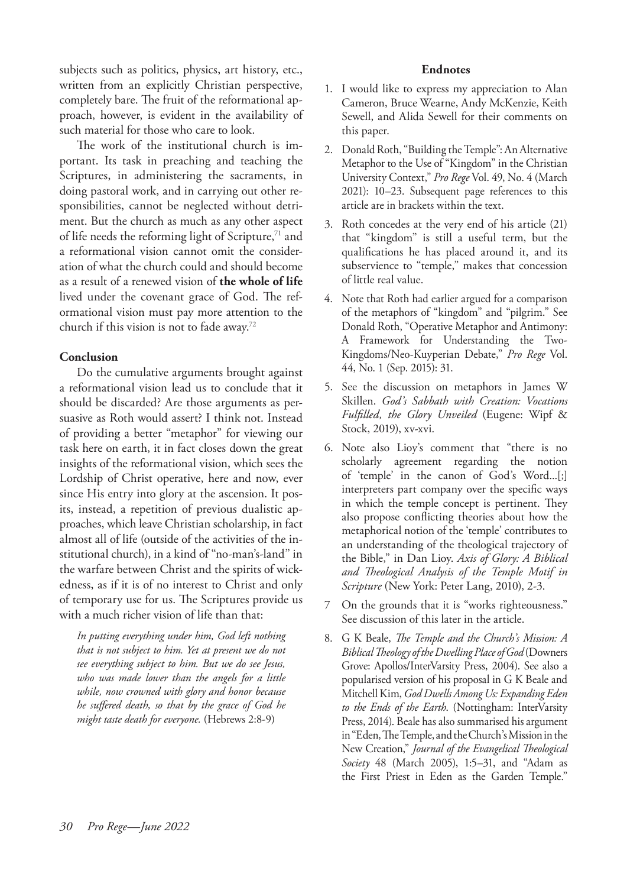subjects such as politics, physics, art history, etc., written from an explicitly Christian perspective, completely bare. The fruit of the reformational approach, however, is evident in the availability of such material for those who care to look.

The work of the institutional church is important. Its task in preaching and teaching the Scriptures, in administering the sacraments, in doing pastoral work, and in carrying out other responsibilities, cannot be neglected without detriment. But the church as much as any other aspect of life needs the reforming light of Scripture,<sup>71</sup> and a reformational vision cannot omit the consideration of what the church could and should become as a result of a renewed vision of **the whole of life** lived under the covenant grace of God. The reformational vision must pay more attention to the church if this vision is not to fade away.72

# **Conclusion**

Do the cumulative arguments brought against a reformational vision lead us to conclude that it should be discarded? Are those arguments as persuasive as Roth would assert? I think not. Instead of providing a better "metaphor" for viewing our task here on earth, it in fact closes down the great insights of the reformational vision, which sees the Lordship of Christ operative, here and now, ever since His entry into glory at the ascension. It posits, instead, a repetition of previous dualistic approaches, which leave Christian scholarship, in fact almost all of life (outside of the activities of the institutional church), in a kind of "no-man's-land" in the warfare between Christ and the spirits of wickedness, as if it is of no interest to Christ and only of temporary use for us. The Scriptures provide us with a much richer vision of life than that:

*In putting everything under him, God left nothing that is not subject to him. Yet at present we do not see everything subject to him. But we do see Jesus, who was made lower than the angels for a little while, now crowned with glory and honor because he suffered death, so that by the grace of God he might taste death for everyone.* (Hebrews 2:8-9)

### **Endnotes**

- 1. I would like to express my appreciation to Alan Cameron, Bruce Wearne, Andy McKenzie, Keith Sewell, and Alida Sewell for their comments on this paper.
- 2. Donald Roth, "Building the Temple": An Alternative Metaphor to the Use of "Kingdom" in the Christian University Context," *Pro Rege* Vol. 49, No. 4 (March 2021): 10–23. Subsequent page references to this article are in brackets within the text.
- 3. Roth concedes at the very end of his article (21) that "kingdom" is still a useful term, but the qualifications he has placed around it, and its subservience to "temple," makes that concession of little real value.
- 4. Note that Roth had earlier argued for a comparison of the metaphors of "kingdom" and "pilgrim." See Donald Roth, "Operative Metaphor and Antimony: A Framework for Understanding the Two-Kingdoms/Neo-Kuyperian Debate," *Pro Rege* Vol. 44, No. 1 (Sep. 2015): 31.
- 5. See the discussion on metaphors in James W Skillen. *God's Sabbath with Creation: Vocations Fulfilled, the Glory Unveiled* (Eugene: Wipf & Stock, 2019), xv-xvi.
- 6. Note also Lioy's comment that "there is no scholarly agreement regarding the notion of 'temple' in the canon of God's Word...[;] interpreters part company over the specific ways in which the temple concept is pertinent. They also propose conflicting theories about how the metaphorical notion of the 'temple' contributes to an understanding of the theological trajectory of the Bible," in Dan Lioy. *Axis of Glory: A Biblical and Theological Analysis of the Temple Motif in Scripture* (New York: Peter Lang, 2010), 2-3.
- 7 On the grounds that it is "works righteousness." See discussion of this later in the article.
- 8. G K Beale, *The Temple and the Church's Mission: A Biblical Theology of the Dwelling Place of God* (Downers Grove: Apollos/InterVarsity Press, 2004). See also a popularised version of his proposal in G K Beale and Mitchell Kim, *God Dwells Among Us: Expanding Eden to the Ends of the Earth*. (Nottingham: InterVarsity Press, 2014). Beale has also summarised his argument in "Eden, The Temple, and the Church's Mission in the New Creation," *Journal of the Evangelical Theological Society* 48 (March 2005), 1:5–31, and "Adam as the First Priest in Eden as the Garden Temple."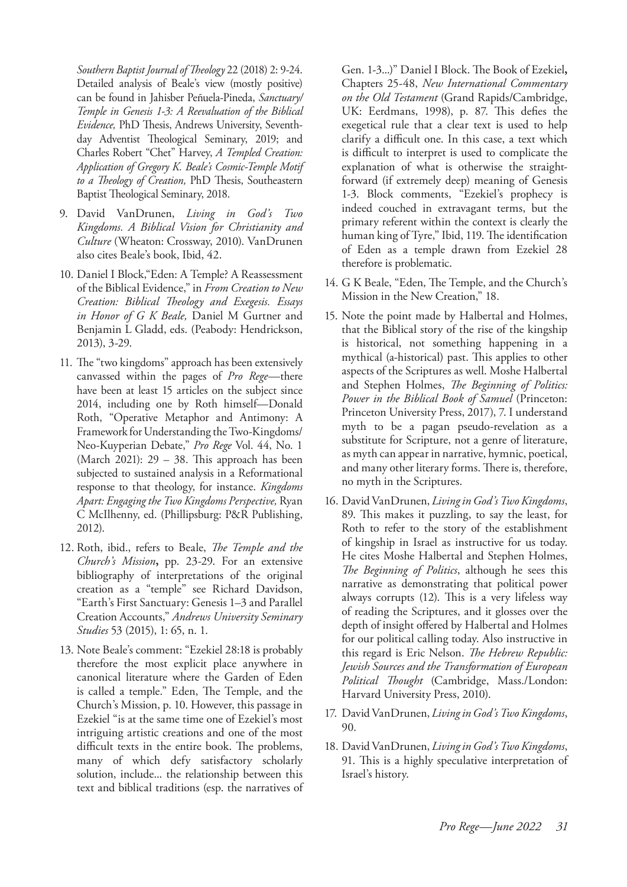*Southern Baptist Journal of Theology* 22 (2018) 2: 9-24. Detailed analysis of Beale's view (mostly positive) can be found in Jahisber Peñuela-Pineda, *Sanctuary/ Temple in Genesis 1-3: A Reevaluation of the Biblical Evidence,* PhD Thesis, Andrews University, Seventhday Adventist Theological Seminary, 2019; and Charles Robert "Chet" Harvey, *A Templed Creation: Application of Gregory K. Beale's Cosmic-Temple Motif to a Theology of Creation,* PhD Thesis, Southeastern Baptist Theological Seminary, 2018.

- 9. David VanDrunen, *Living in God's Two Kingdoms. A Biblical Vision for Christianity and Culture* (Wheaton: Crossway, 2010). VanDrunen also cites Beale's book, Ibid, 42.
- 10. Daniel I Block,"Eden: A Temple? A Reassessment of the Biblical Evidence," in *From Creation to New Creation: Biblical Theology and Exegesis. Essays in Honor of G K Beale,* Daniel M Gurtner and Benjamin L Gladd, eds. (Peabody: Hendrickson, 2013), 3-29.
- 11. The "two kingdoms" approach has been extensively canvassed within the pages of *Pro Rege—*there have been at least 15 articles on the subject since 2014, including one by Roth himself—Donald Roth, "Operative Metaphor and Antimony: A Framework for Understanding the Two-Kingdoms/ Neo-Kuyperian Debate," *Pro Rege* Vol. 44, No. 1 (March 2021): 29 – 38. This approach has been subjected to sustained analysis in a Reformational response to that theology, for instance. *Kingdoms Apart: Engaging the Two Kingdoms Perspective,* Ryan C McIlhenny, ed. (Phillipsburg: P&R Publishing, 2012).
- 12. Roth, ibid., refers to Beale, *The Temple and the Church's Mission***,** pp. 23-29. For an extensive bibliography of interpretations of the original creation as a "temple" see Richard Davidson, "Earth's First Sanctuary: Genesis 1–3 and Parallel Creation Accounts," *Andrews University Seminary Studies* 53 (2015), 1: 65, n. 1.
- 13. Note Beale's comment: "Ezekiel 28:18 is probably therefore the most explicit place anywhere in canonical literature where the Garden of Eden is called a temple." Eden, The Temple, and the Church's Mission, p. 10. However, this passage in Ezekiel "is at the same time one of Ezekiel's most intriguing artistic creations and one of the most difficult texts in the entire book. The problems, many of which defy satisfactory scholarly solution, include... the relationship between this text and biblical traditions (esp. the narratives of

Gen. 1-3...)" Daniel I Block. The Book of Ezekiel**,**  Chapters 25-48, *New International Commentary on the Old Testament* (Grand Rapids/Cambridge, UK: Eerdmans, 1998), p. 87. This defies the exegetical rule that a clear text is used to help clarify a difficult one. In this case, a text which is difficult to interpret is used to complicate the explanation of what is otherwise the straightforward (if extremely deep) meaning of Genesis 1-3. Block comments, "Ezekiel's prophecy is indeed couched in extravagant terms, but the primary referent within the context is clearly the human king of Tyre," Ibid, 119. The identification of Eden as a temple drawn from Ezekiel 28 therefore is problematic.

- 14. G K Beale, "Eden, The Temple, and the Church's Mission in the New Creation," 18.
- 15. Note the point made by Halbertal and Holmes, that the Biblical story of the rise of the kingship is historical, not something happening in a mythical (a-historical) past. This applies to other aspects of the Scriptures as well. Moshe Halbertal and Stephen Holmes, *The Beginning of Politics: Power in the Biblical Book of Samuel* (Princeton: Princeton University Press, 2017), 7. I understand myth to be a pagan pseudo-revelation as a substitute for Scripture, not a genre of literature, as myth can appear in narrative, hymnic, poetical, and many other literary forms. There is, therefore, no myth in the Scriptures.
- 16. David VanDrunen, *Living in God's Two Kingdoms*, 89. This makes it puzzling, to say the least, for Roth to refer to the story of the establishment of kingship in Israel as instructive for us today. He cites Moshe Halbertal and Stephen Holmes, *The Beginning of Politics*, although he sees this narrative as demonstrating that political power always corrupts (12). This is a very lifeless way of reading the Scriptures, and it glosses over the depth of insight offered by Halbertal and Holmes for our political calling today. Also instructive in this regard is Eric Nelson. *The Hebrew Republic: Jewish Sources and the Transformation of European Political Thought* (Cambridge, Mass./London: Harvard University Press, 2010).
- 17. David VanDrunen, *Living in God's Two Kingdoms*, 90.
- 18. David VanDrunen, *Living in God's Two Kingdoms*, 91. This is a highly speculative interpretation of Israel's history.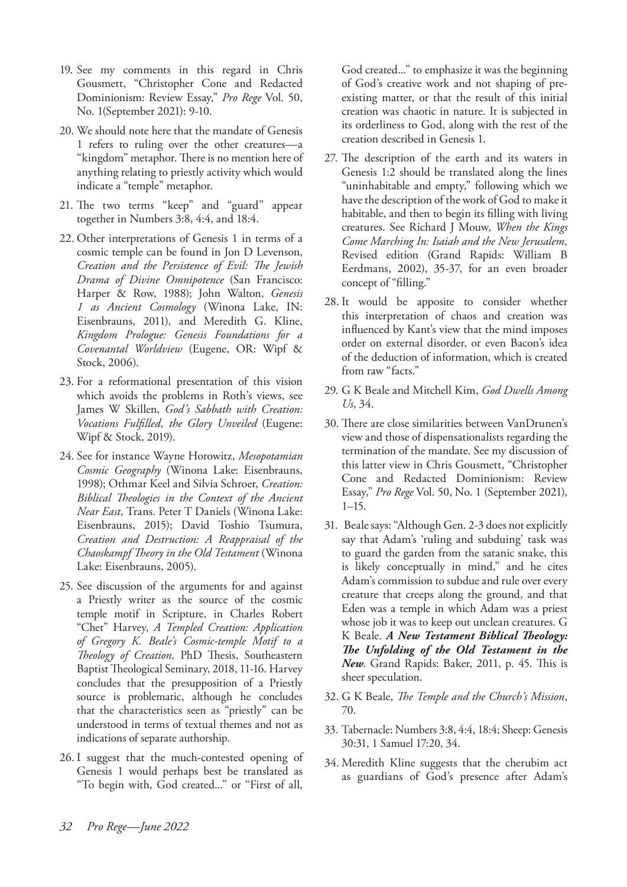- 19. See my comments in this regard in Chris Gousmett, "Christopher Cone and Redacted Dominionism: Review Essay," *Pro Rege* Vol. 50, No. 1(September 2021): 9-10.
- 20. We should note here that the mandate of Genesis 1 refers to ruling over the other creatures—a "kingdom" metaphor. There is no mention here of anything relating to priestly activity which would indicate a "temple" metaphor.
- 21. The two terms "keep" and "guard" appear together in Numbers 3:8, 4:4, and 18:4.
- 22. Other interpretations of Genesis 1 in terms of a cosmic temple can be found in Jon D Levenson, *Creation and the Persistence of Evil: The Jewish Drama of Divine Omnipotence* (San Francisco: Harper & Row, 1988); John Walton, *Genesis 1 as Ancient Cosmology* (Winona Lake, IN: Eisenbrauns, 2011), and Meredith G. Kline, *Kingdom Prologue: Genesis Foundations for a Covenantal Worldview* (Eugene, OR: Wipf & Stock, 2006).
- 23. For a reformational presentation of this vision which avoids the problems in Roth's views, see James W Skillen, *God's Sabbath with Creation: Vocations Fulfilled, the Glory Unveiled* (Eugene: Wipf & Stock, 2019).
- 24. See for instance Wayne Horowitz, *Mesopotamian Cosmic Geography* (Winona Lake: Eisenbrauns, 1998); Othmar Keel and Silvia Schroer, *Creation: Biblical Theologies in the Context of the Ancient Near East,* Trans. Peter T Daniels (Winona Lake: Eisenbrauns, 2015); David Toshio Tsumura, *Creation and Destruction: A Reappraisal of the Chaoskampf Theory in the Old Testament* (Winona Lake: Eisenbrauns, 2005).
- 25. See discussion of the arguments for and against a Priestly writer as the source of the cosmic temple motif in Scripture, in Charles Robert "Chet" Harvey, *A Templed Creation: Application of Gregory K. Beale's Cosmic-temple Motif to a Theology of Creation,* PhD Thesis, Southeastern Baptist Theological Seminary, 2018, 11-16. Harvey concludes that the presupposition of a Priestly source is problematic, although he concludes that the characteristics seen as "priestly" can be understood in terms of textual themes and not as indications of separate authorship.
- 26. I suggest that the much-contested opening of Genesis 1 would perhaps best be translated as "To begin with, God created..." or "First of all,

God created..." to emphasize it was the beginning of God's creative work and not shaping of preexisting matter, or that the result of this initial creation was chaotic in nature. It is subjected in its orderliness to God, along with the rest of the creation described in Genesis 1.

- 27. The description of the earth and its waters in Genesis 1:2 should be translated along the lines "uninhabitable and empty," following which we have the description of the work of God to make it habitable, and then to begin its filling with living creatures. See Richard J Mouw, *When the Kings Come Marching In: Isaiah and the New Jerusalem,* Revised edition (Grand Rapids: William B Eerdmans, 2002), 35-37, for an even broader concept of "filling."
- 28. It would be apposite to consider whether this interpretation of chaos and creation was influenced by Kant's view that the mind imposes order on external disorder, or even Bacon's idea of the deduction of information, which is created from raw "facts."
- 29. G K Beale and Mitchell Kim, *God Dwells Among Us*, 34.
- 30. There are close similarities between VanDrunen's view and those of dispensationalists regarding the termination of the mandate. See my discussion of this latter view in Chris Gousmett, "Christopher Cone and Redacted Dominionism: Review Essay," *Pro Rege* Vol. 50, No. 1 (September 2021), 1–15.
- 31. Beale says: "Although Gen. 2-3 does not explicitly say that Adam's 'ruling and subduing' task was to guard the garden from the satanic snake, this is likely conceptually in mind," and he cites Adam's commission to subdue and rule over every creature that creeps along the ground, and that Eden was a temple in which Adam was a priest whose job it was to keep out unclean creatures. G K Beale. *A New Testament Biblical Theology: The Unfolding of the Old Testament in the New*. Grand Rapids: Baker, 2011, p. 45. This is sheer speculation.
- 32. G K Beale, *The Temple and the Church's Mission*, 70.
- 33. Tabernacle: Numbers 3:8, 4:4, 18:4; Sheep: Genesis 30:31, 1 Samuel 17:20, 34.
- 34. Meredith Kline suggests that the cherubim act as guardians of God's presence after Adam's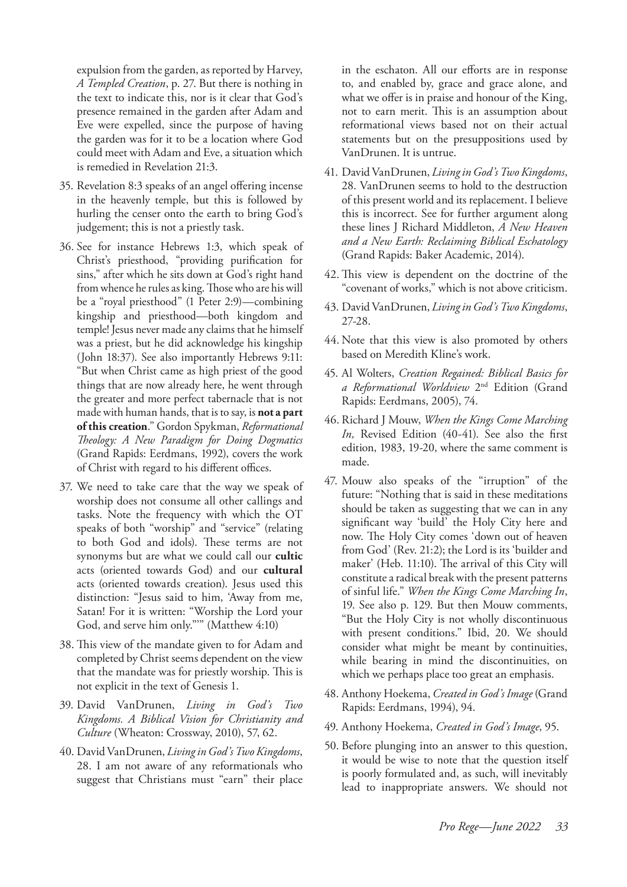expulsion from the garden, as reported by Harvey, *A Templed Creation*, p. 27. But there is nothing in the text to indicate this, nor is it clear that God's presence remained in the garden after Adam and Eve were expelled, since the purpose of having the garden was for it to be a location where God could meet with Adam and Eve, a situation which is remedied in Revelation 21:3.

- 35. Revelation 8:3 speaks of an angel offering incense in the heavenly temple, but this is followed by hurling the censer onto the earth to bring God's judgement; this is not a priestly task.
- 36. See for instance Hebrews 1:3, which speak of Christ's priesthood, "providing purification for sins," after which he sits down at God's right hand from whence he rules as king. Those who are his will be a "royal priesthood" (1 Peter 2:9)—combining kingship and priesthood—both kingdom and temple! Jesus never made any claims that he himself was a priest, but he did acknowledge his kingship (John 18:37). See also importantly Hebrews 9:11: "But when Christ came as high priest of the good things that are now already here, he went through the greater and more perfect tabernacle that is not made with human hands, that is to say, is **not a part of this creation**." Gordon Spykman, *Reformational Theology: A New Paradigm for Doing Dogmatics* (Grand Rapids: Eerdmans, 1992), covers the work of Christ with regard to his different offices.
- 37. We need to take care that the way we speak of worship does not consume all other callings and tasks. Note the frequency with which the OT speaks of both "worship" and "service" (relating to both God and idols). These terms are not synonyms but are what we could call our **cultic** acts (oriented towards God) and our **cultural** acts (oriented towards creation). Jesus used this distinction: "Jesus said to him, 'Away from me, Satan! For it is written: "Worship the Lord your God, and serve him only."'" (Matthew 4:10)
- 38. This view of the mandate given to for Adam and completed by Christ seems dependent on the view that the mandate was for priestly worship. This is not explicit in the text of Genesis 1.
- 39. David VanDrunen, *Living in God's Two Kingdoms. A Biblical Vision for Christianity and Culture* (Wheaton: Crossway, 2010), 57, 62.
- 40. David VanDrunen, *Living in God's Two Kingdoms*, 28. I am not aware of any reformationals who suggest that Christians must "earn" their place

in the eschaton. All our efforts are in response to, and enabled by, grace and grace alone, and what we offer is in praise and honour of the King, not to earn merit. This is an assumption about reformational views based not on their actual statements but on the presuppositions used by VanDrunen. It is untrue.

- 41. David VanDrunen, *Living in God's Two Kingdoms*, 28. VanDrunen seems to hold to the destruction of this present world and its replacement. I believe this is incorrect. See for further argument along these lines J Richard Middleton, *A New Heaven and a New Earth: Reclaiming Biblical Eschatology* (Grand Rapids: Baker Academic, 2014).
- 42.This view is dependent on the doctrine of the "covenant of works," which is not above criticism.
- 43. David VanDrunen, *Living in God's Two Kingdoms*, 27-28.
- 44. Note that this view is also promoted by others based on Meredith Kline's work.
- 45. Al Wolters, *Creation Regained: Biblical Basics for a Reformational Worldview* 2nd Edition (Grand Rapids: Eerdmans, 2005), 74.
- 46. Richard J Mouw, *When the Kings Come Marching In,* Revised Edition (40-41). See also the first edition, 1983, 19-20, where the same comment is made.
- 47. Mouw also speaks of the "irruption" of the future: "Nothing that is said in these meditations should be taken as suggesting that we can in any significant way 'build' the Holy City here and now. The Holy City comes 'down out of heaven from God' (Rev. 21:2); the Lord is its 'builder and maker' (Heb. 11:10). The arrival of this City will constitute a radical break with the present patterns of sinful life." *When the Kings Come Marching In*, 19. See also p. 129. But then Mouw comments, "But the Holy City is not wholly discontinuous with present conditions." Ibid, 20. We should consider what might be meant by continuities, while bearing in mind the discontinuities, on which we perhaps place too great an emphasis.
- 48. Anthony Hoekema, *Created in God's Image* (Grand Rapids: Eerdmans, 1994), 94.
- 49. Anthony Hoekema, *Created in God's Image*, 95.
- 50. Before plunging into an answer to this question, it would be wise to note that the question itself is poorly formulated and, as such, will inevitably lead to inappropriate answers. We should not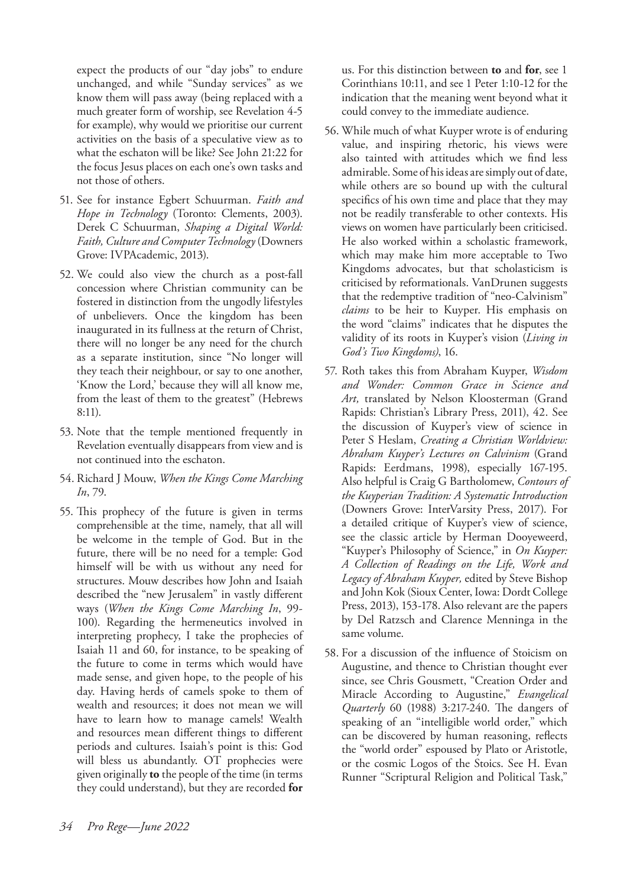expect the products of our "day jobs" to endure unchanged, and while "Sunday services" as we know them will pass away (being replaced with a much greater form of worship, see Revelation 4-5 for example), why would we prioritise our current activities on the basis of a speculative view as to what the eschaton will be like? See John 21:22 for the focus Jesus places on each one's own tasks and not those of others.

- 51. See for instance Egbert Schuurman. *Faith and Hope in Technology* (Toronto: Clements, 2003). Derek C Schuurman, *Shaping a Digital World: Faith, Culture and Computer Technology* (Downers Grove: IVPAcademic, 2013).
- 52. We could also view the church as a post-fall concession where Christian community can be fostered in distinction from the ungodly lifestyles of unbelievers. Once the kingdom has been inaugurated in its fullness at the return of Christ, there will no longer be any need for the church as a separate institution, since "No longer will they teach their neighbour, or say to one another, 'Know the Lord,' because they will all know me, from the least of them to the greatest" (Hebrews 8:11).
- 53. Note that the temple mentioned frequently in Revelation eventually disappears from view and is not continued into the eschaton.
- 54. Richard J Mouw, *When the Kings Come Marching In*, 79.
- 55. This prophecy of the future is given in terms comprehensible at the time, namely, that all will be welcome in the temple of God. But in the future, there will be no need for a temple: God himself will be with us without any need for structures. Mouw describes how John and Isaiah described the "new Jerusalem" in vastly different ways (*When the Kings Come Marching In*, 99- 100). Regarding the hermeneutics involved in interpreting prophecy, I take the prophecies of Isaiah 11 and 60, for instance, to be speaking of the future to come in terms which would have made sense, and given hope, to the people of his day. Having herds of camels spoke to them of wealth and resources; it does not mean we will have to learn how to manage camels! Wealth and resources mean different things to different periods and cultures. Isaiah's point is this: God will bless us abundantly. OT prophecies were given originally **to** the people of the time (in terms they could understand), but they are recorded **for**

us. For this distinction between **to** and **for**, see 1 Corinthians 10:11, and see 1 Peter 1:10-12 for the indication that the meaning went beyond what it could convey to the immediate audience.

- 56. While much of what Kuyper wrote is of enduring value, and inspiring rhetoric, his views were also tainted with attitudes which we find less admirable. Some of his ideas are simply out of date, while others are so bound up with the cultural specifics of his own time and place that they may not be readily transferable to other contexts. His views on women have particularly been criticised. He also worked within a scholastic framework, which may make him more acceptable to Two Kingdoms advocates, but that scholasticism is criticised by reformationals. VanDrunen suggests that the redemptive tradition of "neo-Calvinism" *claims* to be heir to Kuyper. His emphasis on the word "claims" indicates that he disputes the validity of its roots in Kuyper's vision (*Living in God's Two Kingdoms)*, 16.
- 57. Roth takes this from Abraham Kuyper, *Wisdom and Wonder: Common Grace in Science and Art,* translated by Nelson Kloosterman (Grand Rapids: Christian's Library Press, 2011), 42. See the discussion of Kuyper's view of science in Peter S Heslam, *Creating a Christian Worldview: Abraham Kuyper's Lectures on Calvinism* (Grand Rapids: Eerdmans, 1998), especially 167-195. Also helpful is Craig G Bartholomew, *Contours of the Kuyperian Tradition: A Systematic Introduction* (Downers Grove: InterVarsity Press, 2017). For a detailed critique of Kuyper's view of science, see the classic article by Herman Dooyeweerd, "Kuyper's Philosophy of Science," in *On Kuyper: A Collection of Readings on the Life, Work and Legacy of Abraham Kuyper,* edited by Steve Bishop and John Kok (Sioux Center, Iowa: Dordt College Press, 2013), 153-178. Also relevant are the papers by Del Ratzsch and Clarence Menninga in the same volume.
- 58. For a discussion of the influence of Stoicism on Augustine, and thence to Christian thought ever since, see Chris Gousmett, "Creation Order and Miracle According to Augustine," *Evangelical Quarterly* 60 (1988) 3:217-240. The dangers of speaking of an "intelligible world order," which can be discovered by human reasoning, reflects the "world order" espoused by Plato or Aristotle, or the cosmic Logos of the Stoics. See H. Evan Runner "Scriptural Religion and Political Task,"